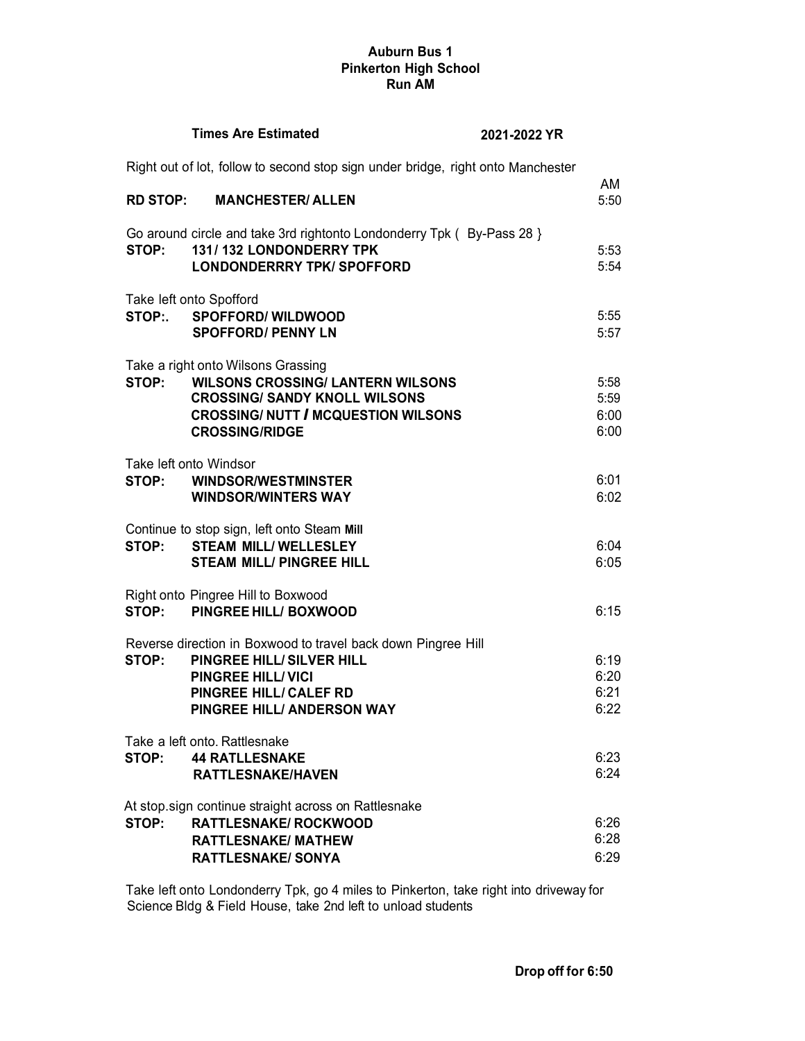## **Auburn Bus 1 Pinkerton High School Run AM**

|                 | <b>Times Are Estimated</b>                                                                                                                                                                         | 2021-2022 YR                                                                     |                              |
|-----------------|----------------------------------------------------------------------------------------------------------------------------------------------------------------------------------------------------|----------------------------------------------------------------------------------|------------------------------|
|                 |                                                                                                                                                                                                    | Right out of lot, follow to second stop sign under bridge, right onto Manchester |                              |
| <b>RD STOP:</b> | <b>MANCHESTER/ ALLEN</b>                                                                                                                                                                           |                                                                                  | AM<br>5:50                   |
| STOP:           | Go around circle and take 3rd rightonto Londonderry Tpk (By-Pass 28 }<br>131/132 LONDONDERRY TPK<br><b>LONDONDERRRY TPK/ SPOFFORD</b>                                                              |                                                                                  | 5:53<br>5:54                 |
|                 | Take left onto Spofford<br>STOP: SPOFFORD/WILDWOOD<br><b>SPOFFORD/ PENNY LN</b>                                                                                                                    |                                                                                  | 5:55<br>5:57                 |
|                 | Take a right onto Wilsons Grassing<br>STOP: WILSONS CROSSING/ LANTERN WILSONS<br><b>CROSSING/ SANDY KNOLL WILSONS</b><br><b>CROSSING/ NUTT / MCQUESTION WILSONS</b><br><b>CROSSING/RIDGE</b>       |                                                                                  | 5:58<br>5:59<br>6:00<br>6:00 |
| STOP:           | Take left onto Windsor<br><b>WINDSOR/WESTMINSTER</b><br><b>WINDSOR/WINTERS WAY</b>                                                                                                                 |                                                                                  | 6:01<br>6:02                 |
| STOP:           | Continue to stop sign, left onto Steam Mill<br><b>STEAM MILL/ WELLESLEY</b><br><b>STEAM MILL/ PINGREE HILL</b>                                                                                     |                                                                                  | 6:04<br>6:05                 |
|                 | Right onto Pingree Hill to Boxwood<br>STOP: PINGREE HILL/BOXWOOD                                                                                                                                   |                                                                                  | 6:15                         |
| STOP:           | Reverse direction in Boxwood to travel back down Pingree Hill<br><b>PINGREE HILL/SILVER HILL</b><br><b>PINGREE HILL/VICI</b><br><b>PINGREE HILL/ CALEF RD</b><br><b>PINGREE HILL/ ANDERSON WAY</b> |                                                                                  | 6:19<br>6:20<br>6:21<br>6:22 |
| STOP:           | Take a left onto. Rattlesnake<br><b>44 RATLLESNAKE</b><br><b>RATTLESNAKE/HAVEN</b>                                                                                                                 |                                                                                  | 6:23<br>6:24                 |
| STOP:           | At stop.sign continue straight across on Rattlesnake<br><b>RATTLESNAKE/ ROCKWOOD</b><br><b>RATTLESNAKE/ MATHEW</b><br><b>RATTLESNAKE/ SONYA</b>                                                    |                                                                                  | 6:26<br>6:28<br>6:29         |

Take left onto Londonderry Tpk, go 4 miles to Pinkerton, take right into driveway for Science Bldg & Field House, take 2nd left to unload students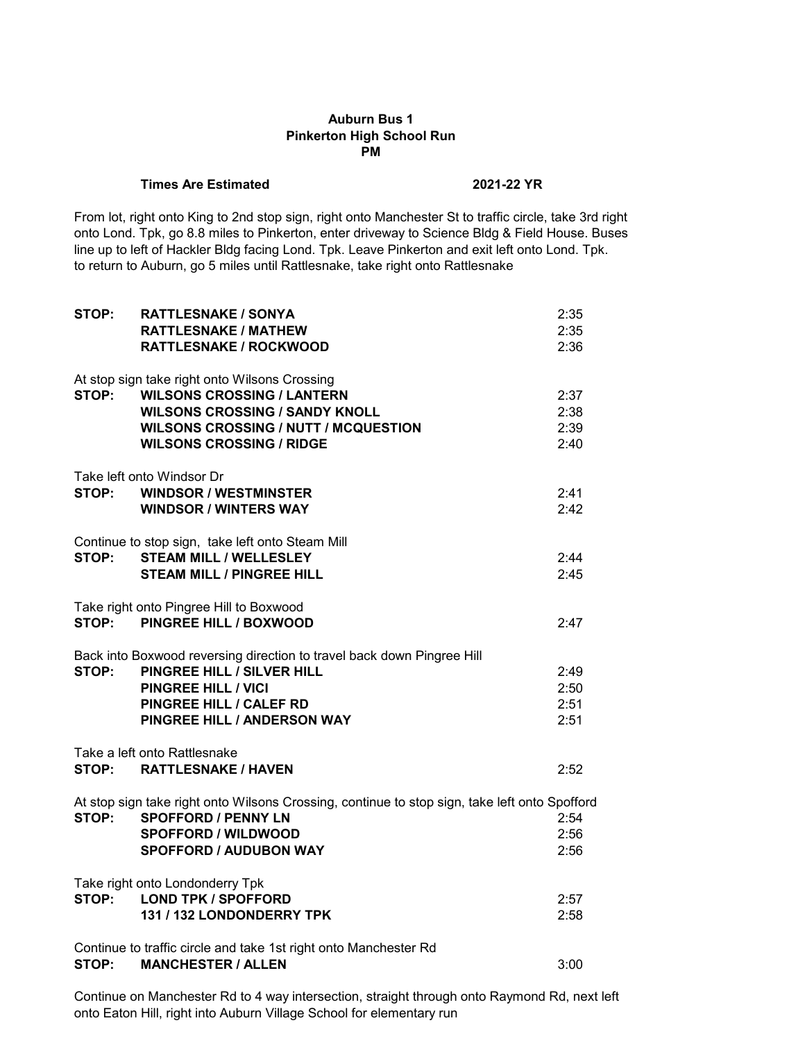## **Auburn Bus 1 Pinkerton High School Run PM**

#### **Times Are Estimated 2021-22 YR**

From lot, right onto King to 2nd stop sign, right onto Manchester St to traffic circle, take 3rd right onto Lond. Tpk, go 8.8 miles to Pinkerton, enter driveway to Science Bldg & Field House. Buses line up to left of Hackler Bldg facing Lond. Tpk. Leave Pinkerton and exit left onto Lond. Tpk. to return to Auburn, go 5 miles until Rattlesnake, take right onto Rattlesnake

| STOP: | <b>RATTLESNAKE / SONYA</b>                                                                    | 2:35 |
|-------|-----------------------------------------------------------------------------------------------|------|
|       | <b>RATTLESNAKE / MATHEW</b>                                                                   | 2:35 |
|       | <b>RATTLESNAKE / ROCKWOOD</b>                                                                 | 2:36 |
|       | At stop sign take right onto Wilsons Crossing                                                 |      |
| STOP: | <b>WILSONS CROSSING / LANTERN</b>                                                             | 2:37 |
|       | <b>WILSONS CROSSING / SANDY KNOLL</b>                                                         | 2:38 |
|       | <b>WILSONS CROSSING / NUTT / MCQUESTION</b>                                                   | 2:39 |
|       | <b>WILSONS CROSSING / RIDGE</b>                                                               | 2:40 |
|       | Take left onto Windsor Dr                                                                     |      |
| STOP: | <b>WINDSOR / WESTMINSTER</b>                                                                  | 2:41 |
|       | <b>WINDSOR / WINTERS WAY</b>                                                                  | 2:42 |
|       |                                                                                               |      |
|       | Continue to stop sign, take left onto Steam Mill                                              |      |
| STOP: | <b>STEAM MILL / WELLESLEY</b>                                                                 | 2:44 |
|       | <b>STEAM MILL / PINGREE HILL</b>                                                              | 2:45 |
|       | Take right onto Pingree Hill to Boxwood                                                       |      |
| STOP: | <b>PINGREE HILL / BOXWOOD</b>                                                                 | 2:47 |
|       |                                                                                               |      |
|       | Back into Boxwood reversing direction to travel back down Pingree Hill                        |      |
| STOP: | PINGREE HILL / SILVER HILL                                                                    | 2:49 |
|       | <b>PINGREE HILL / VICI</b>                                                                    | 2:50 |
|       | <b>PINGREE HILL / CALEF RD</b><br><b>PINGREE HILL / ANDERSON WAY</b>                          | 2:51 |
|       |                                                                                               | 2:51 |
|       | Take a left onto Rattlesnake                                                                  |      |
| STOP: | <b>RATTLESNAKE / HAVEN</b>                                                                    | 2:52 |
|       | At stop sign take right onto Wilsons Crossing, continue to stop sign, take left onto Spofford |      |
| STOP: | <b>SPOFFORD / PENNY LN</b>                                                                    | 2:54 |
|       | <b>SPOFFORD / WILDWOOD</b>                                                                    | 2:56 |
|       | <b>SPOFFORD / AUDUBON WAY</b>                                                                 | 2:56 |
|       | Take right onto Londonderry Tpk                                                               |      |
|       | STOP: LOND TPK / SPOFFORD                                                                     | 2:57 |
|       | 131 / 132 LONDONDERRY TPK                                                                     | 2:58 |
|       |                                                                                               |      |
|       | Continue to traffic circle and take 1st right onto Manchester Rd                              |      |
| STOP: | <b>MANCHESTER / ALLEN</b>                                                                     | 3:00 |

Continue on Manchester Rd to 4 way intersection, straight through onto Raymond Rd, next left onto Eaton Hill, right into Auburn Village School for elementary run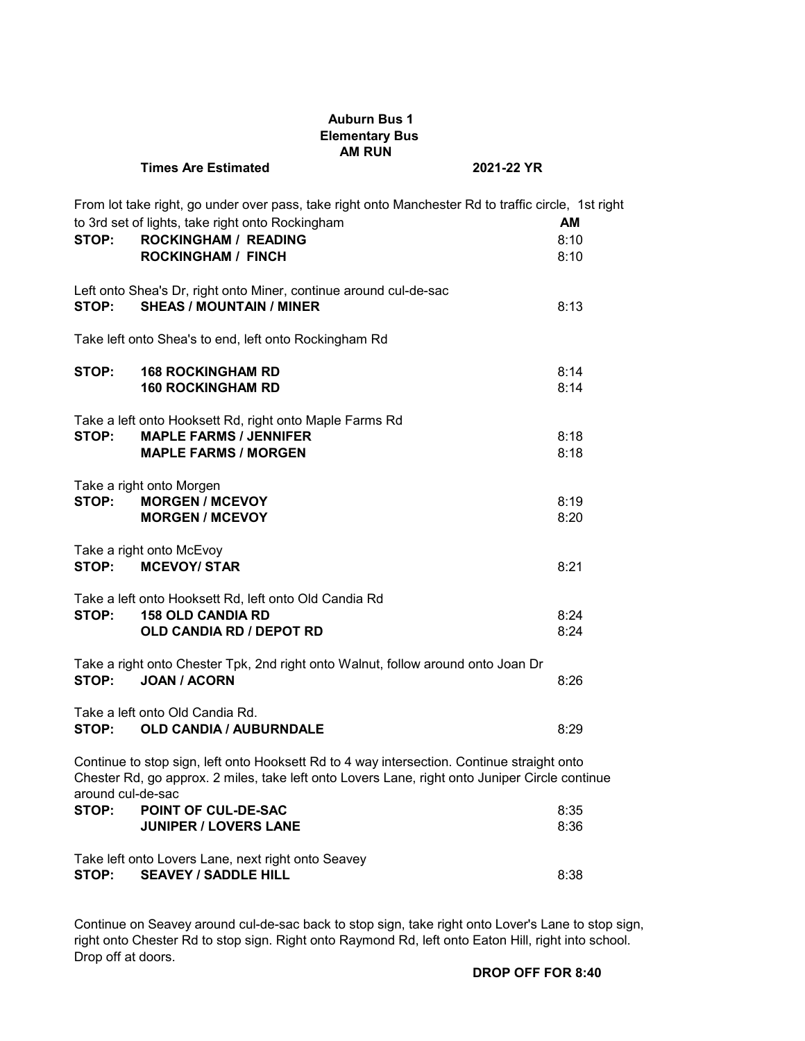|                   | <b>Auburn Bus 1</b><br><b>Elementary Bus</b><br><b>AM RUN</b>                                                                                                                                                       |                           |
|-------------------|---------------------------------------------------------------------------------------------------------------------------------------------------------------------------------------------------------------------|---------------------------|
|                   | <b>Times Are Estimated</b><br>2021-22 YR                                                                                                                                                                            |                           |
| STOP:             | From lot take right, go under over pass, take right onto Manchester Rd to traffic circle, 1st right<br>to 3rd set of lights, take right onto Rockingham<br><b>ROCKINGHAM / READING</b><br><b>ROCKINGHAM / FINCH</b> | <b>AM</b><br>8:10<br>8:10 |
| STOP:             | Left onto Shea's Dr, right onto Miner, continue around cul-de-sac<br><b>SHEAS / MOUNTAIN / MINER</b>                                                                                                                | 8:13                      |
|                   | Take left onto Shea's to end, left onto Rockingham Rd                                                                                                                                                               |                           |
| STOP:             | <b>168 ROCKINGHAM RD</b><br><b>160 ROCKINGHAM RD</b>                                                                                                                                                                | 8:14<br>8:14              |
| STOP:             | Take a left onto Hooksett Rd, right onto Maple Farms Rd<br><b>MAPLE FARMS / JENNIFER</b><br><b>MAPLE FARMS / MORGEN</b>                                                                                             | 8:18<br>8:18              |
| STOP:             | Take a right onto Morgen<br><b>MORGEN / MCEVOY</b><br><b>MORGEN / MCEVOY</b>                                                                                                                                        | 8:19<br>8:20              |
| STOP:             | Take a right onto McEvoy<br><b>MCEVOY/ STAR</b>                                                                                                                                                                     | 8:21                      |
| STOP:             | Take a left onto Hooksett Rd, left onto Old Candia Rd<br><b>158 OLD CANDIA RD</b><br><b>OLD CANDIA RD / DEPOT RD</b>                                                                                                | 8:24<br>8:24              |
| STOP:             | Take a right onto Chester Tpk, 2nd right onto Walnut, follow around onto Joan Dr<br><b>JOAN / ACORN</b>                                                                                                             | 8:26                      |
| STOP:             | Take a left onto Old Candia Rd.<br><b>OLD CANDIA / AUBURNDALE</b>                                                                                                                                                   | 8:29                      |
| around cul-de-sac | Continue to stop sign, left onto Hooksett Rd to 4 way intersection. Continue straight onto<br>Chester Rd, go approx. 2 miles, take left onto Lovers Lane, right onto Juniper Circle continue                        |                           |
| STOP:             | POINT OF CUL-DE-SAC<br><b>JUNIPER / LOVERS LANE</b>                                                                                                                                                                 | 8:35<br>8:36              |
| STOP:             | Take left onto Lovers Lane, next right onto Seavey<br><b>SEAVEY / SADDLE HILL</b>                                                                                                                                   | 8:38                      |

Continue on Seavey around cul-de-sac back to stop sign, take right onto Lover's Lane to stop sign, right onto Chester Rd to stop sign. Right onto Raymond Rd, left onto Eaton Hill, right into school. Drop off at doors.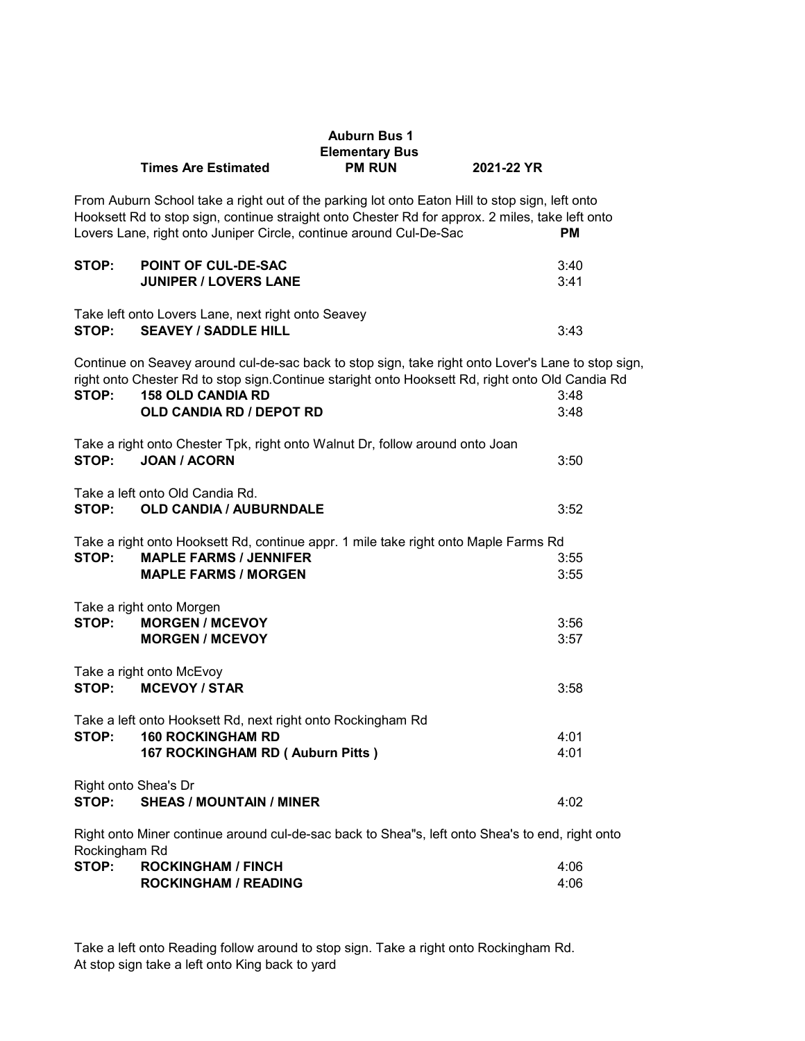|                               |                                                                                                                                                                                                                                                                         | <b>Auburn Bus 1</b><br><b>Elementary Bus</b> |              |
|-------------------------------|-------------------------------------------------------------------------------------------------------------------------------------------------------------------------------------------------------------------------------------------------------------------------|----------------------------------------------|--------------|
|                               | <b>Times Are Estimated</b>                                                                                                                                                                                                                                              | <b>PM RUN</b>                                | 2021-22 YR   |
|                               | From Auburn School take a right out of the parking lot onto Eaton Hill to stop sign, left onto<br>Hooksett Rd to stop sign, continue straight onto Chester Rd for approx. 2 miles, take left onto<br>Lovers Lane, right onto Juniper Circle, continue around Cul-De-Sac |                                              | <b>PM</b>    |
| STOP:                         | <b>POINT OF CUL-DE-SAC</b><br><b>JUNIPER / LOVERS LANE</b>                                                                                                                                                                                                              |                                              | 3:40<br>3:41 |
| STOP:                         | Take left onto Lovers Lane, next right onto Seavey<br><b>SEAVEY / SADDLE HILL</b>                                                                                                                                                                                       |                                              | 3:43         |
| STOP:                         | Continue on Seavey around cul-de-sac back to stop sign, take right onto Lover's Lane to stop sign,<br>right onto Chester Rd to stop sign.Continue staright onto Hooksett Rd, right onto Old Candia Rd<br><b>158 OLD CANDIA RD</b>                                       |                                              | 3:48         |
|                               | <b>OLD CANDIA RD / DEPOT RD</b>                                                                                                                                                                                                                                         |                                              | 3:48         |
| STOP:                         | Take a right onto Chester Tpk, right onto Walnut Dr, follow around onto Joan<br><b>JOAN / ACORN</b>                                                                                                                                                                     |                                              | 3:50         |
| STOP:                         | Take a left onto Old Candia Rd.<br><b>OLD CANDIA / AUBURNDALE</b>                                                                                                                                                                                                       |                                              | 3:52         |
|                               | Take a right onto Hooksett Rd, continue appr. 1 mile take right onto Maple Farms Rd                                                                                                                                                                                     |                                              |              |
| STOP:                         | <b>MAPLE FARMS / JENNIFER</b><br><b>MAPLE FARMS / MORGEN</b>                                                                                                                                                                                                            |                                              | 3:55<br>3:55 |
| STOP:                         | Take a right onto Morgen<br><b>MORGEN / MCEVOY</b><br><b>MORGEN / MCEVOY</b>                                                                                                                                                                                            |                                              | 3:56<br>3:57 |
| STOP:                         | Take a right onto McEvoy<br><b>MCEVOY / STAR</b>                                                                                                                                                                                                                        |                                              | 3:58         |
| STOP:                         | Take a left onto Hooksett Rd, next right onto Rockingham Rd<br><b>160 ROCKINGHAM RD</b><br>167 ROCKINGHAM RD (Auburn Pitts)                                                                                                                                             |                                              | 4:01<br>4:01 |
| Right onto Shea's Dr<br>STOP: | <b>SHEAS / MOUNTAIN / MINER</b>                                                                                                                                                                                                                                         |                                              | 4:02         |
| Rockingham Rd                 | Right onto Miner continue around cul-de-sac back to Shea"s, left onto Shea's to end, right onto                                                                                                                                                                         |                                              |              |

| STOP: | <b>ROCKINGHAM / FINCH</b>   | 4:06 |
|-------|-----------------------------|------|
|       | <b>ROCKINGHAM / READING</b> | 4:06 |

Take a left onto Reading follow around to stop sign. Take a right onto Rockingham Rd. At stop sign take a left onto King back to yard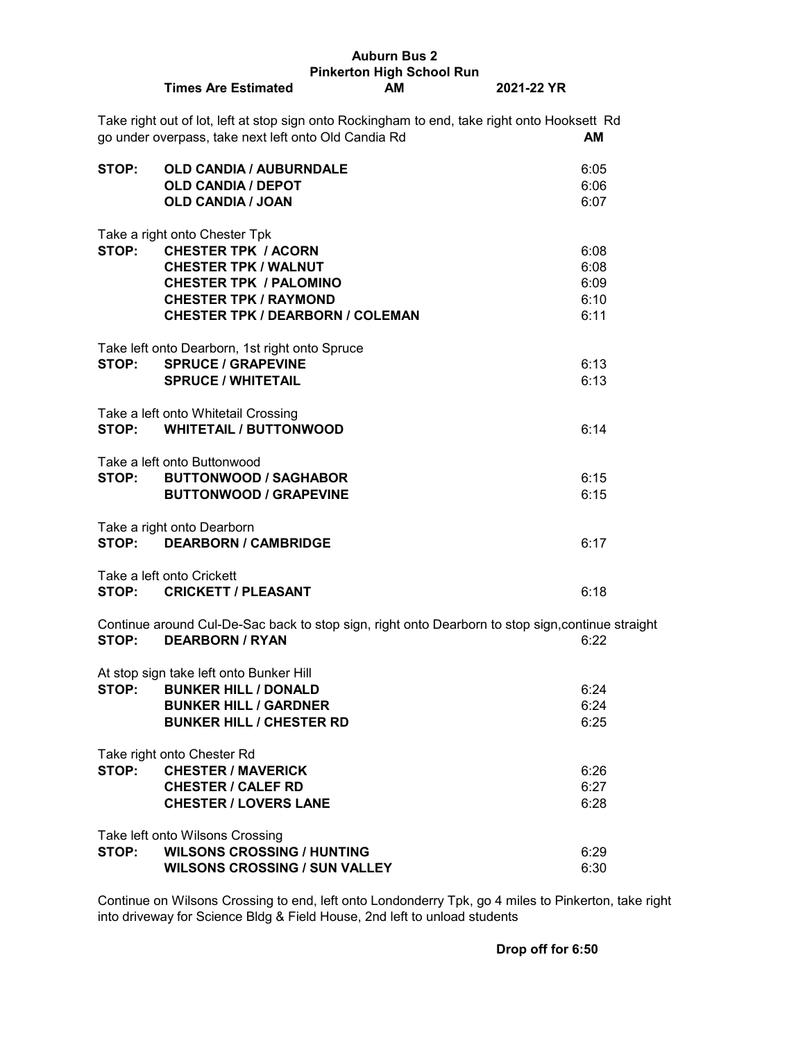| <b>Auburn Bus 2</b> |                                                                                                                                                      |    |            |      |
|---------------------|------------------------------------------------------------------------------------------------------------------------------------------------------|----|------------|------|
|                     | <b>Pinkerton High School Run</b>                                                                                                                     |    |            |      |
|                     | <b>Times Are Estimated</b>                                                                                                                           | АM | 2021-22 YR |      |
|                     | Take right out of lot, left at stop sign onto Rockingham to end, take right onto Hooksett Rd<br>go under overpass, take next left onto Old Candia Rd |    |            | AM   |
|                     |                                                                                                                                                      |    |            |      |
| STOP:               | <b>OLD CANDIA / AUBURNDALE</b><br><b>OLD CANDIA / DEPOT</b>                                                                                          |    |            | 6:05 |
|                     |                                                                                                                                                      |    |            | 6:06 |
|                     | <b>OLD CANDIA / JOAN</b>                                                                                                                             |    |            | 6:07 |
|                     | Take a right onto Chester Tpk                                                                                                                        |    |            |      |
| STOP:               | <b>CHESTER TPK / ACORN</b>                                                                                                                           |    |            | 6:08 |
|                     | <b>CHESTER TPK / WALNUT</b>                                                                                                                          |    |            | 6:08 |
|                     | <b>CHESTER TPK / PALOMINO</b>                                                                                                                        |    |            | 6:09 |
|                     |                                                                                                                                                      |    |            |      |
|                     | <b>CHESTER TPK / RAYMOND</b>                                                                                                                         |    |            | 6:10 |
|                     | <b>CHESTER TPK / DEARBORN / COLEMAN</b>                                                                                                              |    |            | 6:11 |
|                     |                                                                                                                                                      |    |            |      |
|                     | Take left onto Dearborn, 1st right onto Spruce                                                                                                       |    |            |      |
| STOP:               | <b>SPRUCE / GRAPEVINE</b>                                                                                                                            |    |            | 6:13 |
|                     | <b>SPRUCE / WHITETAIL</b>                                                                                                                            |    |            | 6:13 |
|                     |                                                                                                                                                      |    |            |      |
|                     | Take a left onto Whitetail Crossing                                                                                                                  |    |            |      |
| STOP:               | <b>WHITETAIL / BUTTONWOOD</b>                                                                                                                        |    |            | 6:14 |
|                     |                                                                                                                                                      |    |            |      |
|                     | Take a left onto Buttonwood                                                                                                                          |    |            |      |
| STOP:               | <b>BUTTONWOOD / SAGHABOR</b>                                                                                                                         |    |            | 6:15 |
|                     | <b>BUTTONWOOD / GRAPEVINE</b>                                                                                                                        |    |            | 6:15 |
|                     |                                                                                                                                                      |    |            |      |
|                     | Take a right onto Dearborn                                                                                                                           |    |            |      |
| STOP:               | <b>DEARBORN / CAMBRIDGE</b>                                                                                                                          |    |            | 6:17 |
|                     |                                                                                                                                                      |    |            |      |
|                     | Take a left onto Crickett                                                                                                                            |    |            |      |
|                     | STOP: CRICKETT / PLEASANT                                                                                                                            |    |            | 6:18 |
|                     |                                                                                                                                                      |    |            |      |
|                     | Continue around Cul-De-Sac back to stop sign, right onto Dearborn to stop sign, continue straight                                                    |    |            |      |
|                     | STOP: DEARBORN / RYAN                                                                                                                                |    | 6:22       |      |
|                     |                                                                                                                                                      |    |            |      |
|                     | At stop sign take left onto Bunker Hill                                                                                                              |    |            |      |
| STOP:               | <b>BUNKER HILL / DONALD</b>                                                                                                                          |    |            | 6:24 |
|                     | <b>BUNKER HILL / GARDNER</b>                                                                                                                         |    |            | 6:24 |
|                     | <b>BUNKER HILL / CHESTER RD</b>                                                                                                                      |    |            | 6:25 |
|                     |                                                                                                                                                      |    |            |      |
|                     | Take right onto Chester Rd                                                                                                                           |    |            |      |
| STOP:               | <b>CHESTER / MAVERICK</b>                                                                                                                            |    |            | 6:26 |
|                     | <b>CHESTER / CALEF RD</b>                                                                                                                            |    |            | 6:27 |
|                     | <b>CHESTER / LOVERS LANE</b>                                                                                                                         |    |            | 6:28 |
|                     |                                                                                                                                                      |    |            |      |
|                     | Take left onto Wilsons Crossing                                                                                                                      |    |            |      |
| STOP:               | <b>WILSONS CROSSING / HUNTING</b>                                                                                                                    |    |            | 6:29 |
|                     | <b>WILSONS CROSSING / SUN VALLEY</b>                                                                                                                 |    |            | 6:30 |

Continue on Wilsons Crossing to end, left onto Londonderry Tpk, go 4 miles to Pinkerton, take right into driveway for Science Bldg & Field House, 2nd left to unload students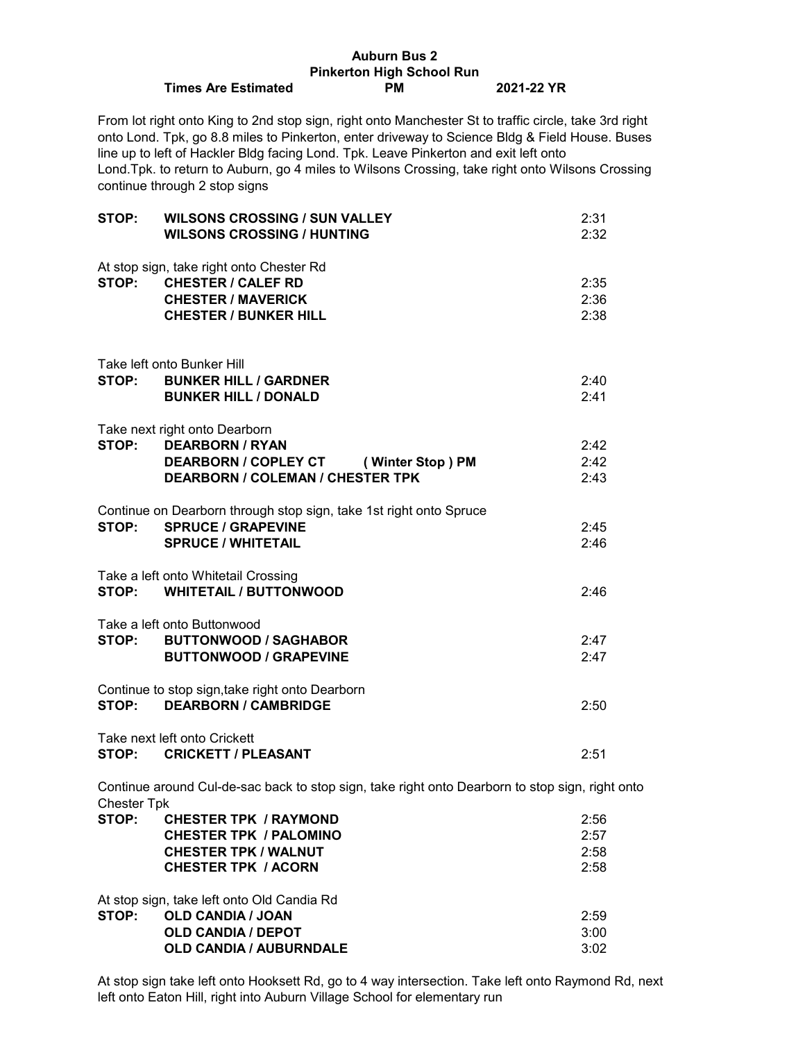## **Auburn Bus 2 Pinkerton High School Run Times Are Estimated PM 2021-22 YR**

From lot right onto King to 2nd stop sign, right onto Manchester St to traffic circle, take 3rd right onto Lond. Tpk, go 8.8 miles to Pinkerton, enter driveway to Science Bldg & Field House. Buses line up to left of Hackler Bldg facing Lond. Tpk. Leave Pinkerton and exit left onto Lond.Tpk. to return to Auburn, go 4 miles to Wilsons Crossing, take right onto Wilsons Crossing continue through 2 stop signs

| STOP:              | <b>WILSONS CROSSING / SUN VALLEY</b><br><b>WILSONS CROSSING / HUNTING</b>                                                                  | 2:31<br>2:32                 |
|--------------------|--------------------------------------------------------------------------------------------------------------------------------------------|------------------------------|
| STOP:              | At stop sign, take right onto Chester Rd<br><b>CHESTER / CALEF RD</b><br><b>CHESTER / MAVERICK</b><br><b>CHESTER / BUNKER HILL</b>         | 2:35<br>2:36<br>2:38         |
|                    | Take left onto Bunker Hill<br>STOP: BUNKER HILL / GARDNER<br><b>BUNKER HILL / DONALD</b>                                                   | 2:40<br>2:41                 |
|                    | Take next right onto Dearborn<br>STOP: DEARBORN / RYAN<br>DEARBORN / COPLEY CT (Winter Stop) PM<br><b>DEARBORN / COLEMAN / CHESTER TPK</b> | 2:42<br>2:42<br>2:43         |
|                    | Continue on Dearborn through stop sign, take 1st right onto Spruce<br>STOP: SPRUCE / GRAPEVINE<br><b>SPRUCE / WHITETAIL</b>                | 2:45<br>2:46                 |
|                    | Take a left onto Whitetail Crossing<br>STOP: WHITETAIL / BUTTONWOOD                                                                        | 2:46                         |
| STOP:              | Take a left onto Buttonwood<br><b>BUTTONWOOD / SAGHABOR</b><br><b>BUTTONWOOD / GRAPEVINE</b>                                               | 2:47<br>2:47                 |
| STOP:              | Continue to stop sign, take right onto Dearborn<br><b>DEARBORN / CAMBRIDGE</b>                                                             | 2:50                         |
|                    | Take next left onto Crickett<br>STOP: CRICKETT / PLEASANT                                                                                  | 2:51                         |
| <b>Chester Tpk</b> | Continue around Cul-de-sac back to stop sign, take right onto Dearborn to stop sign, right onto                                            |                              |
| STOP:              | <b>CHESTER TPK / RAYMOND</b><br><b>CHESTER TPK / PALOMINO</b><br><b>CHESTER TPK / WALNUT</b><br><b>CHESTER TPK / ACORN</b>                 | 2:56<br>2:57<br>2:58<br>2:58 |
|                    | At stop sign, take left onto Old Candia Rd                                                                                                 |                              |

**STOP: OLD CANDIA / JOAN** 2:59 **OLD CANDIA / DEPOT** 3:00 **OLD CANDIA / AUBURNDALE** 3:02

At stop sign take left onto Hooksett Rd, go to 4 way intersection. Take left onto Raymond Rd, next left onto Eaton Hill, right into Auburn Village School for elementary run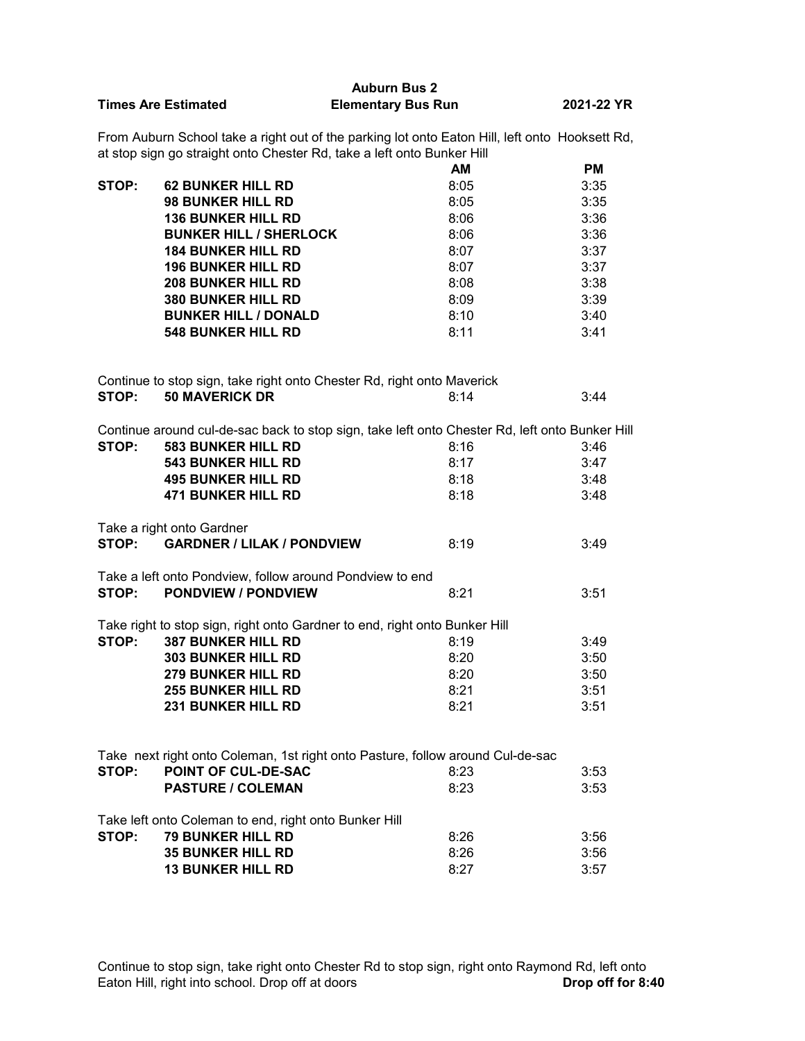|                            | <b>Auburn Bus 2</b>       |            |
|----------------------------|---------------------------|------------|
| <b>Times Are Estimated</b> | <b>Elementary Bus Run</b> | 2021-22 YR |

From Auburn School take a right out of the parking lot onto Eaton Hill, left onto Hooksett Rd, at stop sign go straight onto Chester Rd, take a left onto Bunker Hill

|       |                               | <b>AM</b> | <b>PM</b> |
|-------|-------------------------------|-----------|-----------|
| STOP: | <b>62 BUNKER HILL RD</b>      | 8:05      | 3:35      |
|       | <b>98 BUNKER HILL RD</b>      | 8:05      | 3:35      |
|       | <b>136 BUNKER HILL RD</b>     | 8:06      | 3:36      |
|       | <b>BUNKER HILL / SHERLOCK</b> | 8:06      | 3:36      |
|       | <b>184 BUNKER HILL RD</b>     | 8:07      | 3:37      |
|       | <b>196 BUNKER HILL RD</b>     | 8:07      | 3:37      |
|       | <b>208 BUNKER HILL RD</b>     | 8:08      | 3:38      |
|       | <b>380 BUNKER HILL RD</b>     | 8:09      | 3:39      |
|       | <b>BUNKER HILL / DONALD</b>   | 8:10      | 3:40      |
|       | <b>548 BUNKER HILL RD</b>     | 8:11      | 3:41      |

| Continue to stop sign, take right onto Chester Rd, right onto Maverick |                       |      |      |
|------------------------------------------------------------------------|-----------------------|------|------|
| STOP:                                                                  | <b>50 MAVERICK DR</b> | 8.14 | 3:44 |

|       | Continue around cul-de-sac back to stop sign, take left onto Chester Rd, left onto Bunker Hill |      |      |
|-------|------------------------------------------------------------------------------------------------|------|------|
| STOP: | <b>583 BUNKER HILL RD</b>                                                                      | 8:16 | 3:46 |
|       | <b>543 BUNKER HILL RD</b>                                                                      | 8:17 | 3:47 |
|       | <b>495 BUNKER HILL RD</b>                                                                      | 8:18 | 3:48 |
|       | <b>471 BUNKER HILL RD</b>                                                                      | 8:18 | 3:48 |
|       | Take a right onto Gardner                                                                      |      |      |
| STOP: | <b>GARDNER / LILAK / PONDVIEW</b>                                                              | 8:19 | 3:49 |
|       | Take a left onto Pondview, follow around Pondview to end                                       |      |      |
| STOP: | <b>PONDVIEW / PONDVIEW</b>                                                                     | 8:21 | 3:51 |
|       | Take right to stop sign, right onto Gardner to end, right onto Bunker Hill                     |      |      |
| STOP: | <b>387 BUNKER HILL RD</b>                                                                      | 8:19 | 3:49 |
|       | <b>303 BUNKER HILL RD</b>                                                                      | 8:20 | 3:50 |
|       | <b>279 BUNKER HILL RD</b>                                                                      | 8:20 | 3:50 |
|       | <b>255 BUNKER HILL RD</b>                                                                      | 8:21 | 3:51 |
|       | <b>231 BUNKER HILL RD</b>                                                                      | 8:21 | 3:51 |
|       |                                                                                                |      |      |
|       | Take next right onto Coleman, 1st right onto Pasture, follow around Cul-de-sac                 |      |      |
| STOP: | <b>POINT OF CUL-DE-SAC</b>                                                                     | 8:23 | 3:53 |
|       | <b>PASTURE / COLEMAN</b>                                                                       | 8:23 | 3:53 |
|       | Take left onto Coleman to end, right onto Bunker Hill                                          |      |      |
| STOP: | <b>79 BUNKER HILL RD</b>                                                                       | 8:26 | 3:56 |
|       | <b>35 BUNKER HILL RD</b>                                                                       | 8:26 | 3:56 |
|       | <b>13 BUNKER HILL RD</b>                                                                       | 8:27 | 3:57 |

Continue to stop sign, take right onto Chester Rd to stop sign, right onto Raymond Rd, left onto Eaton Hill, right into school. Drop off at doors **Drop off for 8:40**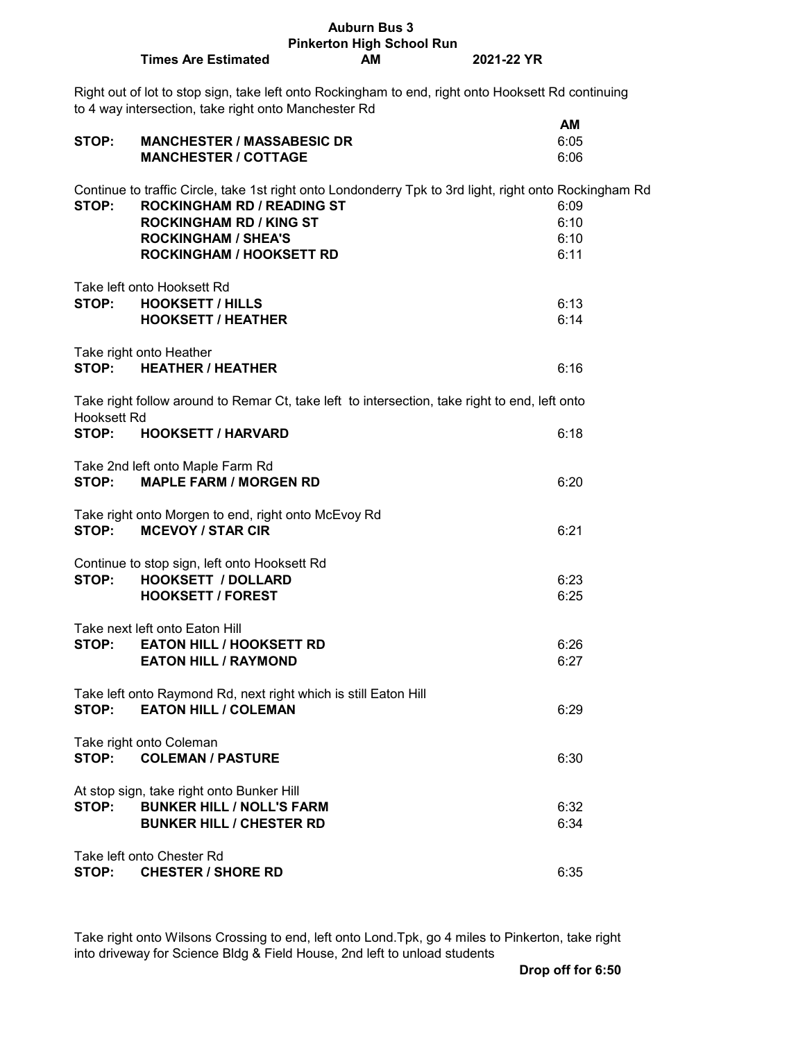|             |                                                                                                                                                            | <b>Pinkerton High School Run</b> |            |      |
|-------------|------------------------------------------------------------------------------------------------------------------------------------------------------------|----------------------------------|------------|------|
|             | <b>Times Are Estimated</b>                                                                                                                                 | <b>AM</b>                        | 2021-22 YR |      |
|             | Right out of lot to stop sign, take left onto Rockingham to end, right onto Hooksett Rd continuing<br>to 4 way intersection, take right onto Manchester Rd |                                  |            |      |
|             |                                                                                                                                                            |                                  |            | AM   |
| STOP:       | <b>MANCHESTER / MASSABESIC DR</b>                                                                                                                          |                                  |            | 6:05 |
|             | <b>MANCHESTER / COTTAGE</b>                                                                                                                                |                                  |            | 6:06 |
|             | Continue to traffic Circle, take 1st right onto Londonderry Tpk to 3rd light, right onto Rockingham Rd                                                     |                                  |            |      |
| STOP:       | <b>ROCKINGHAM RD / READING ST</b>                                                                                                                          |                                  |            | 6:09 |
|             | <b>ROCKINGHAM RD / KING ST</b>                                                                                                                             |                                  |            | 6:10 |
|             |                                                                                                                                                            |                                  |            |      |
|             | <b>ROCKINGHAM / SHEA'S</b>                                                                                                                                 |                                  |            | 6:10 |
|             | <b>ROCKINGHAM / HOOKSETT RD</b>                                                                                                                            |                                  |            | 6:11 |
|             | Take left onto Hooksett Rd                                                                                                                                 |                                  |            |      |
| STOP:       | <b>HOOKSETT / HILLS</b>                                                                                                                                    |                                  |            | 6:13 |
|             | <b>HOOKSETT / HEATHER</b>                                                                                                                                  |                                  |            | 6:14 |
|             |                                                                                                                                                            |                                  |            |      |
|             | Take right onto Heather                                                                                                                                    |                                  |            |      |
| STOP:       | <b>HEATHER / HEATHER</b>                                                                                                                                   |                                  |            | 6:16 |
| Hooksett Rd | Take right follow around to Remar Ct, take left to intersection, take right to end, left onto                                                              |                                  |            |      |
| STOP:       | <b>HOOKSETT / HARVARD</b>                                                                                                                                  |                                  |            | 6:18 |
| STOP:       | Take 2nd left onto Maple Farm Rd<br><b>MAPLE FARM / MORGEN RD</b>                                                                                          |                                  |            | 6:20 |
| STOP:       | Take right onto Morgen to end, right onto McEvoy Rd<br><b>MCEVOY / STAR CIR</b>                                                                            |                                  |            | 6:21 |
|             | Continue to stop sign, left onto Hooksett Rd                                                                                                               |                                  |            |      |
| STOP:       | <b>HOOKSETT / DOLLARD</b>                                                                                                                                  |                                  |            | 6:23 |
|             | <b>HOOKSETT / FOREST</b>                                                                                                                                   |                                  |            | 6:25 |
|             |                                                                                                                                                            |                                  |            |      |
|             | Take next left onto Eaton Hill                                                                                                                             |                                  |            |      |
| STOP:       | <b>EATON HILL / HOOKSETT RD</b>                                                                                                                            |                                  |            | 6:26 |
|             | <b>EATON HILL / RAYMOND</b>                                                                                                                                |                                  |            | 6:27 |
|             | Take left onto Raymond Rd, next right which is still Eaton Hill                                                                                            |                                  |            |      |
| STOP:       | <b>EATON HILL / COLEMAN</b>                                                                                                                                |                                  |            | 6:29 |
|             |                                                                                                                                                            |                                  |            |      |
|             | Take right onto Coleman                                                                                                                                    |                                  |            |      |
| STOP:       | <b>COLEMAN / PASTURE</b>                                                                                                                                   |                                  |            | 6:30 |
|             | At stop sign, take right onto Bunker Hill                                                                                                                  |                                  |            |      |
| STOP:       | <b>BUNKER HILL / NOLL'S FARM</b>                                                                                                                           |                                  |            | 6:32 |
|             | <b>BUNKER HILL / CHESTER RD</b>                                                                                                                            |                                  |            | 6:34 |
|             |                                                                                                                                                            |                                  |            |      |
|             | Take left onto Chester Rd                                                                                                                                  |                                  |            |      |
| STOP:       | <b>CHESTER / SHORE RD</b>                                                                                                                                  |                                  |            | 6:35 |

**Auburn Bus 3**

Take right onto Wilsons Crossing to end, left onto Lond.Tpk, go 4 miles to Pinkerton, take right into driveway for Science Bldg & Field House, 2nd left to unload students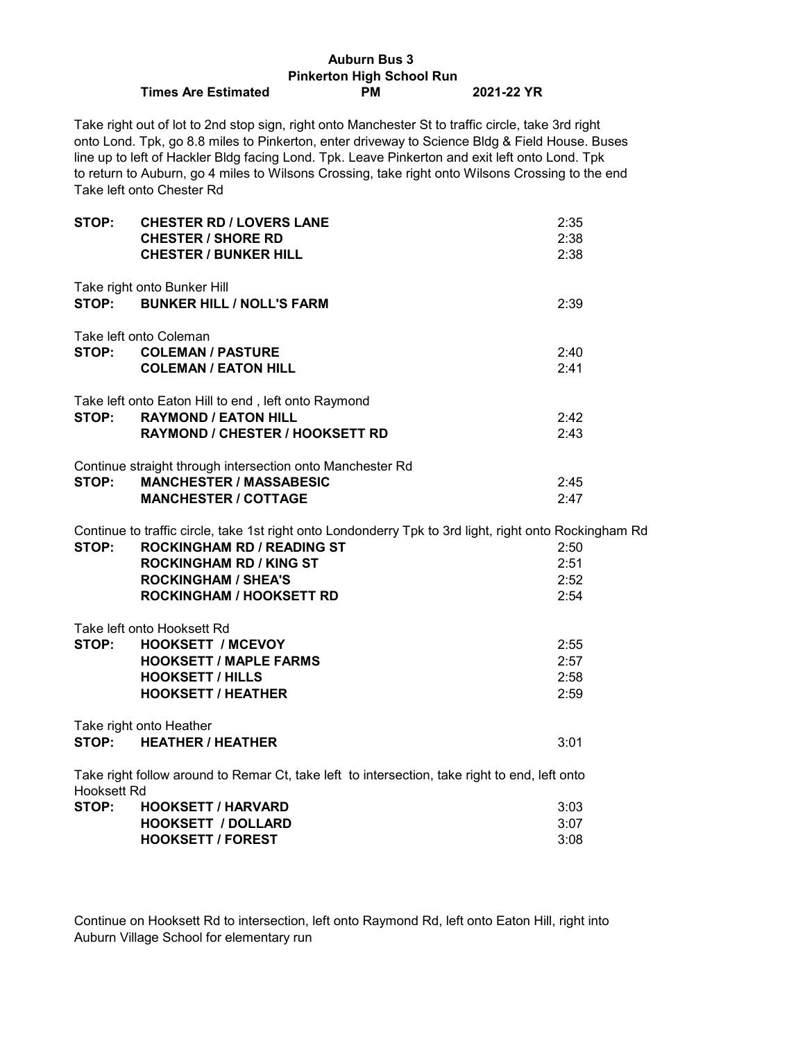|                                  |                                                                                                                                                                                                                                                                                                                                                                                                                                         | <b>Auburn Bus 3</b> |            |  |  |
|----------------------------------|-----------------------------------------------------------------------------------------------------------------------------------------------------------------------------------------------------------------------------------------------------------------------------------------------------------------------------------------------------------------------------------------------------------------------------------------|---------------------|------------|--|--|
| <b>Pinkerton High School Run</b> |                                                                                                                                                                                                                                                                                                                                                                                                                                         |                     |            |  |  |
|                                  | <b>Times Are Estimated</b>                                                                                                                                                                                                                                                                                                                                                                                                              | <b>PM</b>           | 2021-22 YR |  |  |
|                                  | Take right out of lot to 2nd stop sign, right onto Manchester St to traffic circle, take 3rd right<br>onto Lond. Tpk, go 8.8 miles to Pinkerton, enter driveway to Science Bldg & Field House. Buses<br>line up to left of Hackler Bldg facing Lond. Tpk. Leave Pinkerton and exit left onto Lond. Tpk<br>to return to Auburn, go 4 miles to Wilsons Crossing, take right onto Wilsons Crossing to the end<br>Take left onto Chester Rd |                     |            |  |  |
| STOP:                            | <b>CHESTER RD / LOVERS LANE</b>                                                                                                                                                                                                                                                                                                                                                                                                         |                     | 2:35       |  |  |
|                                  | <b>CHESTER / SHORE RD</b>                                                                                                                                                                                                                                                                                                                                                                                                               |                     | 2:38       |  |  |
|                                  | <b>CHESTER / BUNKER HILL</b>                                                                                                                                                                                                                                                                                                                                                                                                            |                     | 2:38       |  |  |
|                                  | Take right onto Bunker Hill                                                                                                                                                                                                                                                                                                                                                                                                             |                     |            |  |  |
|                                  | STOP: BUNKER HILL / NOLL'S FARM                                                                                                                                                                                                                                                                                                                                                                                                         |                     | 2:39       |  |  |
|                                  | Take left onto Coleman                                                                                                                                                                                                                                                                                                                                                                                                                  |                     |            |  |  |
|                                  |                                                                                                                                                                                                                                                                                                                                                                                                                                         |                     |            |  |  |
|                                  | STOP: COLEMAN / PASTURE                                                                                                                                                                                                                                                                                                                                                                                                                 |                     | 2:40       |  |  |
|                                  | <b>COLEMAN / EATON HILL</b>                                                                                                                                                                                                                                                                                                                                                                                                             |                     | 2:41       |  |  |
|                                  | Take left onto Eaton Hill to end, left onto Raymond                                                                                                                                                                                                                                                                                                                                                                                     |                     |            |  |  |
| STOP:                            | <b>RAYMOND / EATON HILL</b>                                                                                                                                                                                                                                                                                                                                                                                                             |                     | 2:42       |  |  |
|                                  | <b>RAYMOND / CHESTER / HOOKSETT RD</b>                                                                                                                                                                                                                                                                                                                                                                                                  |                     | 2:43       |  |  |
|                                  | Continue straight through intersection onto Manchester Rd                                                                                                                                                                                                                                                                                                                                                                               |                     |            |  |  |
| STOP:                            | <b>MANCHESTER / MASSABESIC</b>                                                                                                                                                                                                                                                                                                                                                                                                          |                     | 2:45       |  |  |
|                                  | <b>MANCHESTER / COTTAGE</b>                                                                                                                                                                                                                                                                                                                                                                                                             |                     | 2:47       |  |  |
|                                  | Continue to traffic circle, take 1st right onto Londonderry Tpk to 3rd light, right onto Rockingham Rd                                                                                                                                                                                                                                                                                                                                  |                     |            |  |  |
| STOP:                            | <b>ROCKINGHAM RD / READING ST</b>                                                                                                                                                                                                                                                                                                                                                                                                       |                     | 2:50       |  |  |
|                                  | <b>ROCKINGHAM RD / KING ST</b>                                                                                                                                                                                                                                                                                                                                                                                                          |                     | 2:51       |  |  |
|                                  | <b>ROCKINGHAM / SHEA'S</b>                                                                                                                                                                                                                                                                                                                                                                                                              |                     | 2:52       |  |  |
|                                  | <b>ROCKINGHAM / HOOKSETT RD</b>                                                                                                                                                                                                                                                                                                                                                                                                         |                     | 2:54       |  |  |
|                                  | Take left onto Hooksett Rd                                                                                                                                                                                                                                                                                                                                                                                                              |                     |            |  |  |
| STOP:                            | <b>HOOKSETT / MCEVOY</b>                                                                                                                                                                                                                                                                                                                                                                                                                |                     | 2:55       |  |  |
|                                  | <b>HOOKSETT / MAPLE FARMS</b>                                                                                                                                                                                                                                                                                                                                                                                                           |                     | 2:57       |  |  |
|                                  | <b>HOOKSETT / HILLS</b>                                                                                                                                                                                                                                                                                                                                                                                                                 |                     | 2:58       |  |  |
|                                  | <b>HOOKSETT / HEATHER</b>                                                                                                                                                                                                                                                                                                                                                                                                               |                     | 2:59       |  |  |
|                                  | Take right onto Heather                                                                                                                                                                                                                                                                                                                                                                                                                 |                     |            |  |  |
| STOP:                            | <b>HEATHER / HEATHER</b>                                                                                                                                                                                                                                                                                                                                                                                                                |                     | 3:01       |  |  |
|                                  |                                                                                                                                                                                                                                                                                                                                                                                                                                         |                     |            |  |  |
| Hooksett Rd                      | Take right follow around to Remar Ct, take left to intersection, take right to end, left onto                                                                                                                                                                                                                                                                                                                                           |                     |            |  |  |
| STOP:                            | <b>HOOKSETT / HARVARD</b>                                                                                                                                                                                                                                                                                                                                                                                                               |                     | 3:03       |  |  |
|                                  | <b>HOOKSETT / DOLLARD</b>                                                                                                                                                                                                                                                                                                                                                                                                               |                     | 3:07       |  |  |
|                                  | <b>HOOKSETT / FOREST</b>                                                                                                                                                                                                                                                                                                                                                                                                                |                     | 3:08       |  |  |
|                                  |                                                                                                                                                                                                                                                                                                                                                                                                                                         |                     |            |  |  |

Continue on Hooksett Rd to intersection, left onto Raymond Rd, left onto Eaton Hill, right into Auburn Village School for elementary run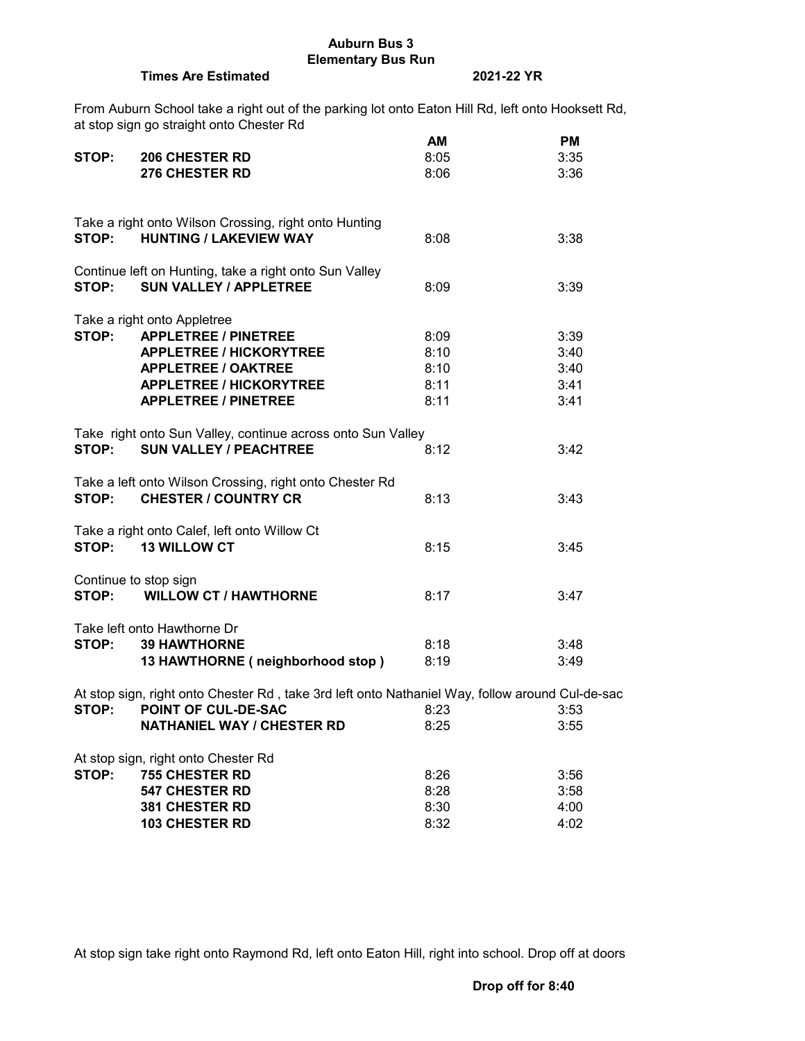## **Auburn Bus 3 Elementary Bus Run**

## **Times Are Estimated 2021-22 YR**

From Auburn School take a right out of the parking lot onto Eaton Hill Rd, left onto Hooksett Rd, at stop sign go straight onto Chester Rd

|       |                                                                                                 | AM   | <b>PM</b> |
|-------|-------------------------------------------------------------------------------------------------|------|-----------|
| STOP: | <b>206 CHESTER RD</b>                                                                           | 8:05 | 3:35      |
|       | <b>276 CHESTER RD</b>                                                                           | 8:06 | 3:36      |
|       |                                                                                                 |      |           |
|       | Take a right onto Wilson Crossing, right onto Hunting                                           |      |           |
|       | STOP: HUNTING / LAKEVIEW WAY                                                                    | 8:08 | 3:38      |
|       |                                                                                                 |      |           |
|       | Continue left on Hunting, take a right onto Sun Valley                                          |      |           |
| STOP: | <b>SUN VALLEY / APPLETREE</b>                                                                   | 8:09 | 3:39      |
|       | Take a right onto Appletree                                                                     |      |           |
| STOP: | <b>APPLETREE / PINETREE</b>                                                                     | 8:09 | 3:39      |
|       | <b>APPLETREE / HICKORYTREE</b>                                                                  | 8:10 | 3:40      |
|       | <b>APPLETREE / OAKTREE</b>                                                                      | 8:10 | 3:40      |
|       | <b>APPLETREE / HICKORYTREE</b>                                                                  | 8:11 | 3:41      |
|       | <b>APPLETREE / PINETREE</b>                                                                     | 8:11 | 3:41      |
|       |                                                                                                 |      |           |
|       | Take right onto Sun Valley, continue across onto Sun Valley                                     |      |           |
| STOP: | <b>SUN VALLEY / PEACHTREE</b>                                                                   | 8:12 | 3:42      |
|       | Take a left onto Wilson Crossing, right onto Chester Rd                                         |      |           |
| STOP: | <b>CHESTER / COUNTRY CR</b>                                                                     | 8:13 | 3:43      |
|       |                                                                                                 |      |           |
|       | Take a right onto Calef, left onto Willow Ct                                                    |      |           |
| STOP: | <b>13 WILLOW CT</b>                                                                             | 8:15 | 3:45      |
|       | Continue to stop sign                                                                           |      |           |
| STOP: | <b>WILLOW CT / HAWTHORNE</b>                                                                    | 8:17 | 3:47      |
|       |                                                                                                 |      |           |
|       | Take left onto Hawthorne Dr                                                                     |      |           |
| STOP: | <b>39 HAWTHORNE</b>                                                                             | 8:18 | 3:48      |
|       | 13 HAWTHORNE (neighborhood stop)                                                                | 8:19 | 3:49      |
|       | At stop sign, right onto Chester Rd, take 3rd left onto Nathaniel Way, follow around Cul-de-sac |      |           |
| STOP: | POINT OF CUL-DE-SAC                                                                             | 8:23 | 3:53      |
|       | <b>NATHANIEL WAY / CHESTER RD</b>                                                               | 8:25 | 3:55      |
|       |                                                                                                 |      |           |
|       | At stop sign, right onto Chester Rd                                                             |      |           |
| STOP: | <b>755 CHESTER RD</b>                                                                           | 8:26 | 3:56      |
|       | <b>547 CHESTER RD</b>                                                                           | 8:28 | 3:58      |
|       | <b>381 CHESTER RD</b>                                                                           | 8:30 | 4:00      |
|       | <b>103 CHESTER RD</b>                                                                           | 8:32 | 4:02      |

At stop sign take right onto Raymond Rd, left onto Eaton Hill, right into school. Drop off at doors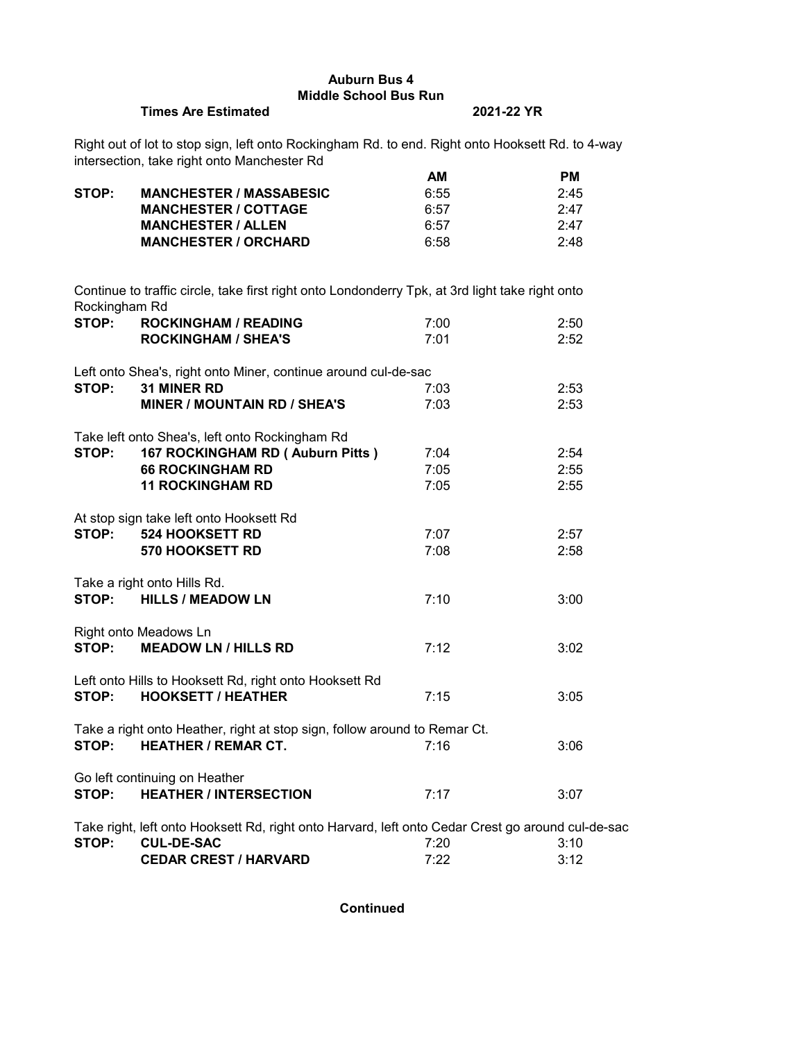# **Auburn Bus 4 Middle School Bus Run**

#### **Times Are Estimated 2021-22 YR**

Right out of lot to stop sign, left onto Rockingham Rd. to end. Right onto Hooksett Rd. to 4-way intersection, take right onto Manchester Rd

|       |                                | AМ   | РM   |
|-------|--------------------------------|------|------|
| STOP: | <b>MANCHESTER / MASSABESIC</b> | 6:55 | 2:45 |
|       | <b>MANCHESTER / COTTAGE</b>    | 6:57 | 2.47 |
|       | <b>MANCHESTER / ALLEN</b>      | 6:57 | 2.47 |
|       | <b>MANCHESTER / ORCHARD</b>    | 6:58 | 2:48 |

Continue to traffic circle, take first right onto Londonderry Tpk, at 3rd light take right onto Rockingham Rd **STOP: ROCKINGHAM / READING** 7:00 2:50 **ROCKINGHAM / SHEA'S** 7:01 2:52 Left onto Shea's, right onto Miner, continue around cul-de-sac **STOP: 31 MINER RD** 7:03 2:53 **MINER / MOUNTAIN RD / SHEA'S** 7:03 2:53 Take left onto Shea's, left onto Rockingham Rd **STOP: 167 ROCKINGHAM RD ( Auburn Pitts )** 7:04 2:54 **66 ROCKINGHAM RD** 7:05 2:55 **11 ROCKINGHAM RD** 7:05 2:55 At stop sign take left onto Hooksett Rd **STOP: 524 HOOKSETT RD** 7:07 2:57 **570 HOOKSETT RD** 7:08 2:58 Take a right onto Hills Rd. **STOP: HILLS / MEADOW LN** 7:10 **3:00** Right onto Meadows Ln **STOP: MEADOW LN / HILLS RD** 7:12 3:02 Left onto Hills to Hooksett Rd, right onto Hooksett Rd **STOP: HOOKSETT / HEATHER** 7:15 3:05 Take a right onto Heather, right at stop sign, follow around to Remar Ct. **STOP: HEATHER / REMAR CT.**  $7:16$   $3:06$ Go left continuing on Heather **STOP: HEATHER / INTERSECTION** 7:17 3:07 Take right, left onto Hooksett Rd, right onto Harvard, left onto Cedar Crest go around cul-de-sac **STOP: CUL-DE-SAC** 7:20 3:10 **CEDAR CREST / HARVARD** 7:22 3:12

**Continued**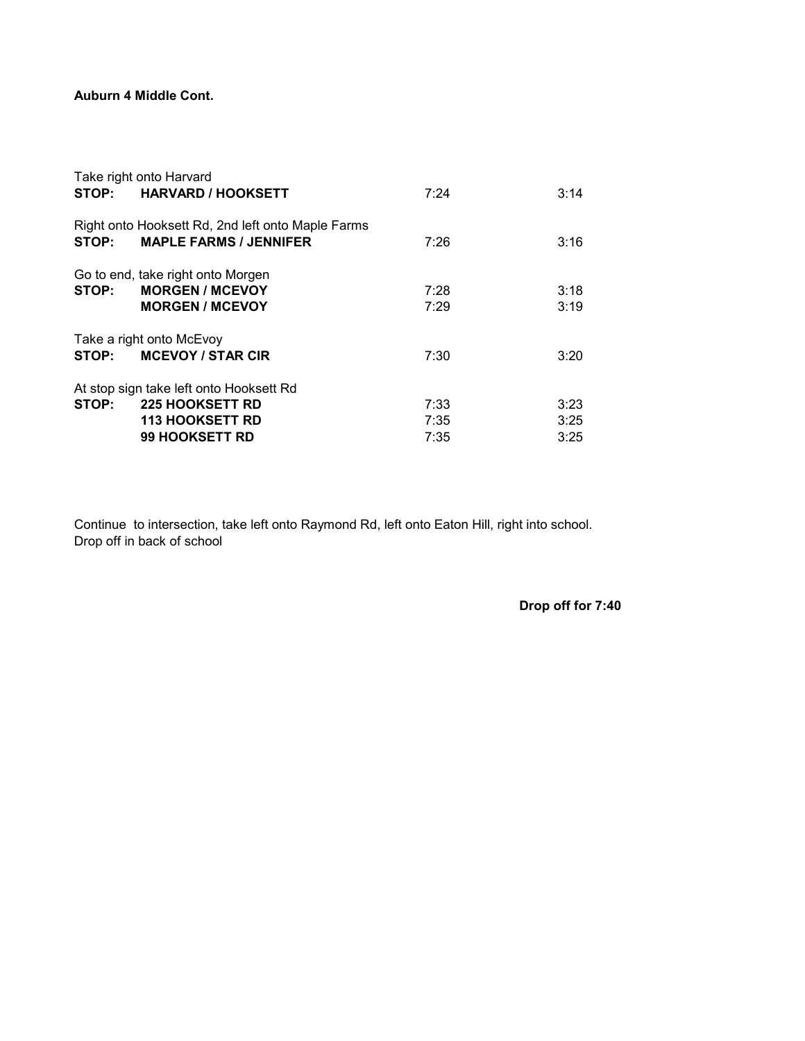# **Auburn 4 Middle Cont.**

|       | Take right onto Harvard                                                               |              |              |
|-------|---------------------------------------------------------------------------------------|--------------|--------------|
|       | STOP: HARVARD / HOOKSETT                                                              | 7:24         | 3:14         |
| STOP: | Right onto Hooksett Rd, 2nd left onto Maple Farms<br><b>MAPLE FARMS / JENNIFER</b>    | 7:26         | 3:16         |
| STOP: | Go to end, take right onto Morgen<br><b>MORGEN / MCEVOY</b><br><b>MORGEN / MCEVOY</b> | 7:28<br>7:29 | 3:18<br>3:19 |
|       | Take a right onto McEvoy                                                              |              |              |
|       | STOP: MCEVOY / STAR CIR                                                               | 7:30         | 3:20         |
|       | At stop sign take left onto Hooksett Rd                                               |              |              |
|       | STOP: 225 HOOKSETT RD                                                                 | 7:33         | 3:23         |
|       | <b>113 HOOKSETT RD</b>                                                                | 7:35         | 3:25         |
|       | 99 HOOKSETT RD                                                                        | 7:35         | 3:25         |

Continue to intersection, take left onto Raymond Rd, left onto Eaton Hill, right into school. Drop off in back of school

**Drop off for 7:40**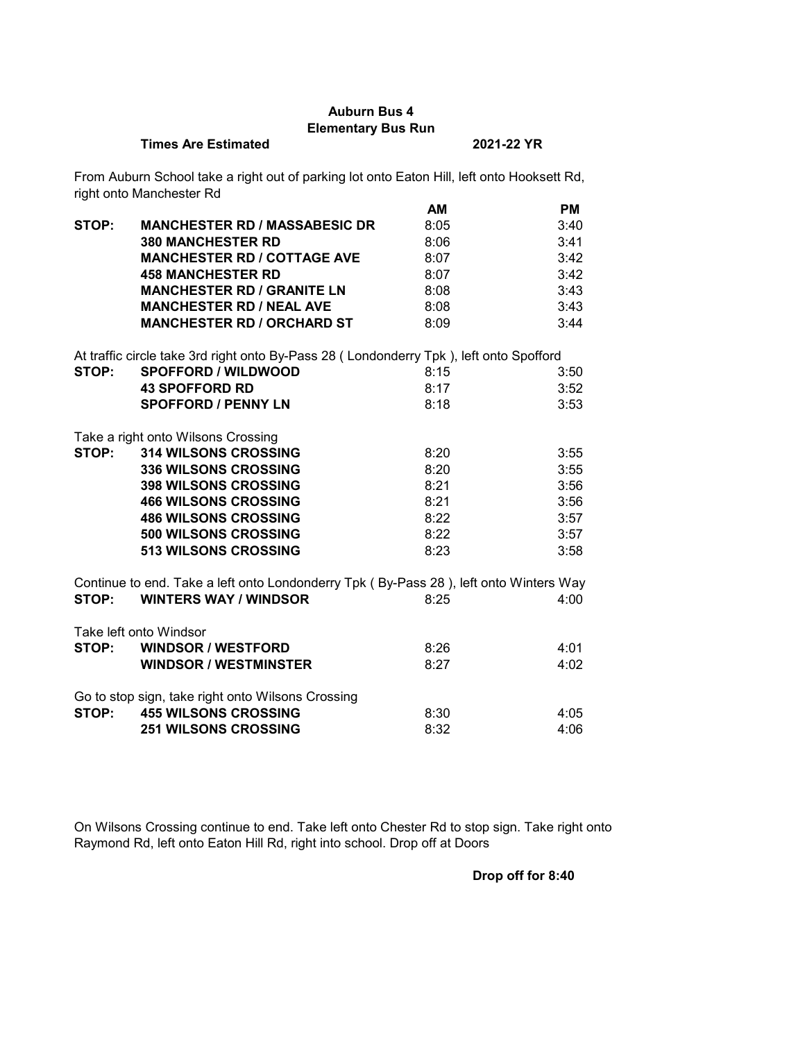# **Auburn Bus 4 Elementary Bus Run**

## **Times Are Estimated 2021-22 YR**

From Auburn School take a right out of parking lot onto Eaton Hill, left onto Hooksett Rd, right onto Manchester Rd

|       |                                                                                        | AM   | <b>PM</b> |
|-------|----------------------------------------------------------------------------------------|------|-----------|
| STOP: | <b>MANCHESTER RD / MASSABESIC DR</b>                                                   | 8:05 | 3:40      |
|       | <b>380 MANCHESTER RD</b>                                                               | 8:06 | 3:41      |
|       | <b>MANCHESTER RD / COTTAGE AVE</b>                                                     | 8:07 | 3:42      |
|       | <b>458 MANCHESTER RD</b>                                                               | 8:07 | 3:42      |
|       | <b>MANCHESTER RD / GRANITE LN</b>                                                      | 8:08 | 3:43      |
|       | <b>MANCHESTER RD / NEAL AVE</b>                                                        | 8:08 | 3:43      |
|       | <b>MANCHESTER RD / ORCHARD ST</b>                                                      | 8:09 | 3:44      |
|       | At traffic circle take 3rd right onto By-Pass 28 (Londonderry Tpk), left onto Spofford |      |           |
| STOP: | <b>SPOFFORD / WILDWOOD</b>                                                             | 8:15 | 3:50      |
|       | <b>43 SPOFFORD RD</b>                                                                  | 8:17 | 3:52      |
|       | <b>SPOFFORD / PENNY LN</b>                                                             | 8:18 | 3:53      |
|       | Take a right onto Wilsons Crossing                                                     |      |           |
| STOP: | <b>314 WILSONS CROSSING</b>                                                            | 8:20 | 3:55      |
|       | <b>336 WILSONS CROSSING</b>                                                            | 8:20 | 3:55      |
|       | <b>398 WILSONS CROSSING</b>                                                            | 8:21 | 3:56      |
|       | <b>466 WILSONS CROSSING</b>                                                            | 8:21 | 3:56      |
|       | <b>486 WILSONS CROSSING</b>                                                            | 8:22 | 3:57      |
|       | 500 WILSONS CROSSING                                                                   | 8:22 | 3:57      |
|       | 513 WILSONS CROSSING                                                                   | 8:23 | 3:58      |
|       | Continue to end. Take a left onto Londonderry Tpk (By-Pass 28), left onto Winters Way  |      |           |
| STOP: | <b>WINTERS WAY / WINDSOR</b>                                                           | 8:25 | 4:00      |
|       | Take left onto Windsor                                                                 |      |           |
| STOP: | <b>WINDSOR / WESTFORD</b>                                                              | 8:26 | 4:01      |
|       | <b>WINDSOR / WESTMINSTER</b>                                                           | 8:27 | 4:02      |
|       | Go to stop sign, take right onto Wilsons Crossing                                      |      |           |
| STOP: | <b>455 WILSONS CROSSING</b>                                                            | 8:30 | 4:05      |
|       | <b>251 WILSONS CROSSING</b>                                                            | 8:32 | 4:06      |

On Wilsons Crossing continue to end. Take left onto Chester Rd to stop sign. Take right onto Raymond Rd, left onto Eaton Hill Rd, right into school. Drop off at Doors

**Drop off for 8:40**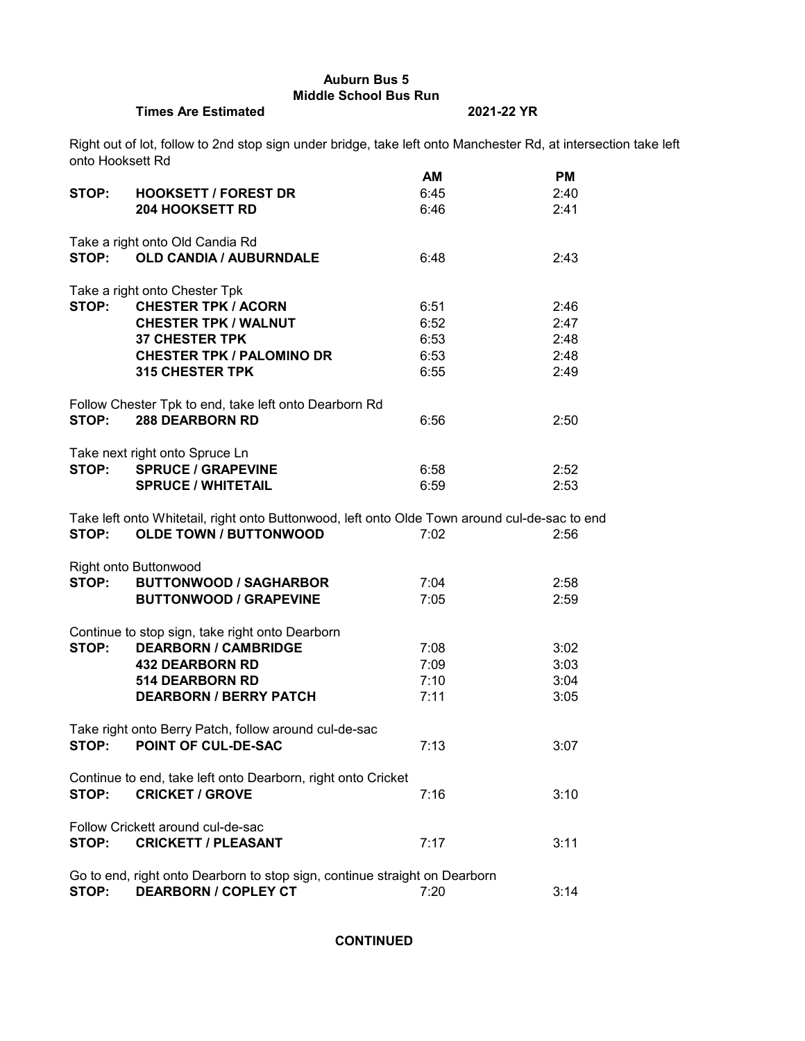**Auburn Bus 5 Middle School Bus Run**

**Times Are Estimated 2021-22 YR**

Right out of lot, follow to 2nd stop sign under bridge, take left onto Manchester Rd, at intersection take left onto Hooksett Rd

|       |                                                                                               | AM   | <b>PM</b> |
|-------|-----------------------------------------------------------------------------------------------|------|-----------|
| STOP: | <b>HOOKSETT / FOREST DR</b>                                                                   | 6:45 | 2:40      |
|       | <b>204 HOOKSETT RD</b>                                                                        | 6:46 | 2:41      |
|       | Take a right onto Old Candia Rd                                                               |      |           |
|       | STOP: OLD CANDIA / AUBURNDALE                                                                 | 6:48 | 2:43      |
|       | Take a right onto Chester Tpk                                                                 |      |           |
| STOP: | <b>CHESTER TPK / ACORN</b>                                                                    | 6:51 | 2:46      |
|       | <b>CHESTER TPK / WALNUT</b>                                                                   | 6:52 | 2:47      |
|       | <b>37 CHESTER TPK</b>                                                                         | 6:53 | 2:48      |
|       | <b>CHESTER TPK / PALOMINO DR</b>                                                              | 6:53 | 2:48      |
|       | <b>315 CHESTER TPK</b>                                                                        | 6:55 | 2:49      |
|       | Follow Chester Tpk to end, take left onto Dearborn Rd                                         |      |           |
| STOP: | <b>288 DEARBORN RD</b>                                                                        | 6:56 | 2:50      |
|       |                                                                                               |      |           |
|       | Take next right onto Spruce Ln                                                                |      |           |
|       | STOP: SPRUCE / GRAPEVINE                                                                      | 6:58 | 2:52      |
|       | <b>SPRUCE / WHITETAIL</b>                                                                     | 6:59 | 2:53      |
|       | Take left onto Whitetail, right onto Buttonwood, left onto Olde Town around cul-de-sac to end |      |           |
| STOP: | <b>OLDE TOWN / BUTTONWOOD</b>                                                                 | 7:02 | 2:56      |
|       | <b>Right onto Buttonwood</b>                                                                  |      |           |
| STOP: | <b>BUTTONWOOD / SAGHARBOR</b>                                                                 | 7:04 | 2:58      |
|       | <b>BUTTONWOOD / GRAPEVINE</b>                                                                 | 7:05 | 2:59      |
|       | Continue to stop sign, take right onto Dearborn                                               |      |           |
| STOP: | <b>DEARBORN / CAMBRIDGE</b>                                                                   | 7:08 | 3:02      |
|       | <b>432 DEARBORN RD</b>                                                                        | 7:09 | 3:03      |
|       | <b>514 DEARBORN RD</b>                                                                        | 7:10 | 3:04      |
|       | <b>DEARBORN / BERRY PATCH</b>                                                                 | 7:11 | 3:05      |
|       | Take right onto Berry Patch, follow around cul-de-sac                                         |      |           |
| STOP: | <b>POINT OF CUL-DE-SAC</b>                                                                    | 7:13 | 3:07      |
|       |                                                                                               |      |           |
|       | Continue to end, take left onto Dearborn, right onto Cricket                                  |      |           |
| STOP: | <b>CRICKET / GROVE</b>                                                                        | 7:16 | 3:10      |
|       | Follow Crickett around cul-de-sac                                                             |      |           |
| STOP: | <b>CRICKETT / PLEASANT</b>                                                                    | 7:17 | 3:11      |
|       | Go to end, right onto Dearborn to stop sign, continue straight on Dearborn                    |      |           |
| STOP: | <b>DEARBORN / COPLEY CT</b>                                                                   | 7:20 | 3:14      |

**CONTINUED**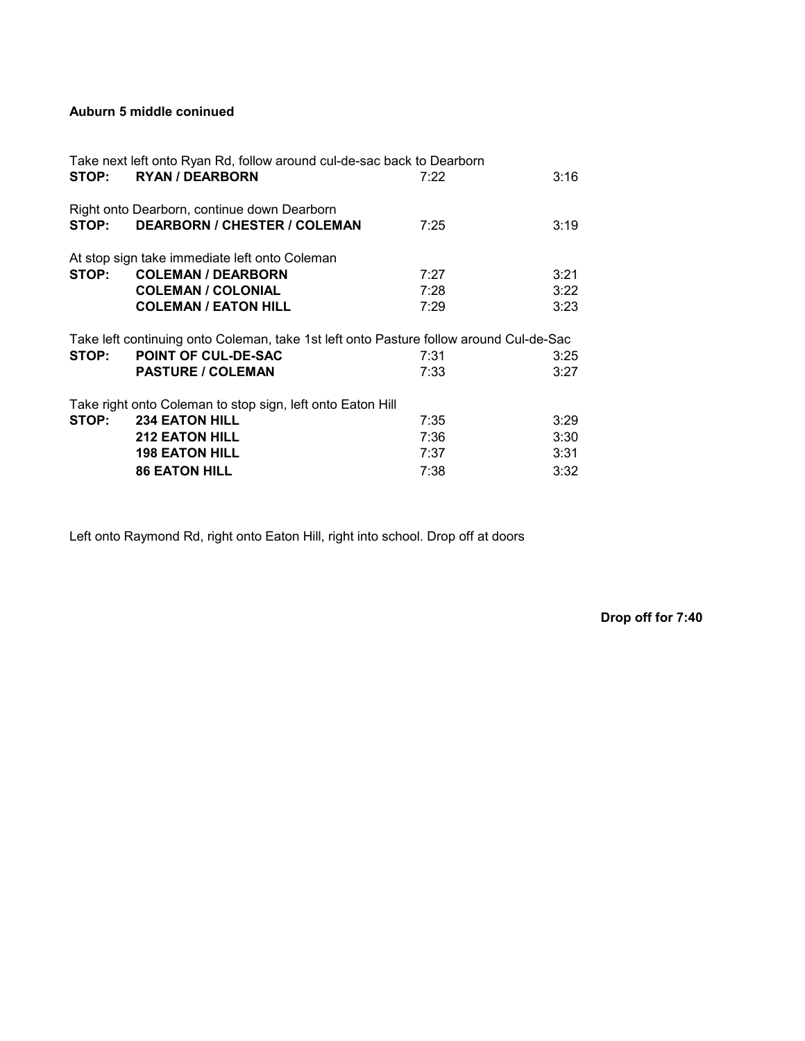# **Auburn 5 middle coninued**

|       | Take next left onto Ryan Rd, follow around cul-de-sac back to Dearborn                 |      |      |
|-------|----------------------------------------------------------------------------------------|------|------|
| STOP: | <b>RYAN / DEARBORN</b>                                                                 | 7:22 | 3:16 |
|       | Right onto Dearborn, continue down Dearborn                                            |      |      |
| STOP: | <b>DEARBORN / CHESTER / COLEMAN</b>                                                    | 7:25 | 3:19 |
|       | At stop sign take immediate left onto Coleman                                          |      |      |
| STOP: | <b>COLEMAN / DEARBORN</b>                                                              | 7:27 | 3:21 |
|       | <b>COLEMAN / COLONIAL</b>                                                              | 7:28 | 3:22 |
|       | <b>COLEMAN / EATON HILL</b>                                                            | 7:29 | 3:23 |
|       | Take left continuing onto Coleman, take 1st left onto Pasture follow around Cul-de-Sac |      |      |
| STOP: | <b>POINT OF CUL-DE-SAC</b>                                                             | 7:31 | 3:25 |
|       | <b>PASTURE / COLEMAN</b>                                                               | 7:33 | 3:27 |
|       | Take right onto Coleman to stop sign, left onto Eaton Hill                             |      |      |
| STOP: | <b>234 EATON HILL</b>                                                                  | 7:35 | 3:29 |
|       | <b>212 EATON HILL</b>                                                                  | 7:36 | 3:30 |
|       | <b>198 EATON HILL</b>                                                                  | 7:37 | 3:31 |
|       | <b>86 EATON HILL</b>                                                                   | 7:38 | 3:32 |

Left onto Raymond Rd, right onto Eaton Hill, right into school. Drop off at doors

**Drop off for 7:40**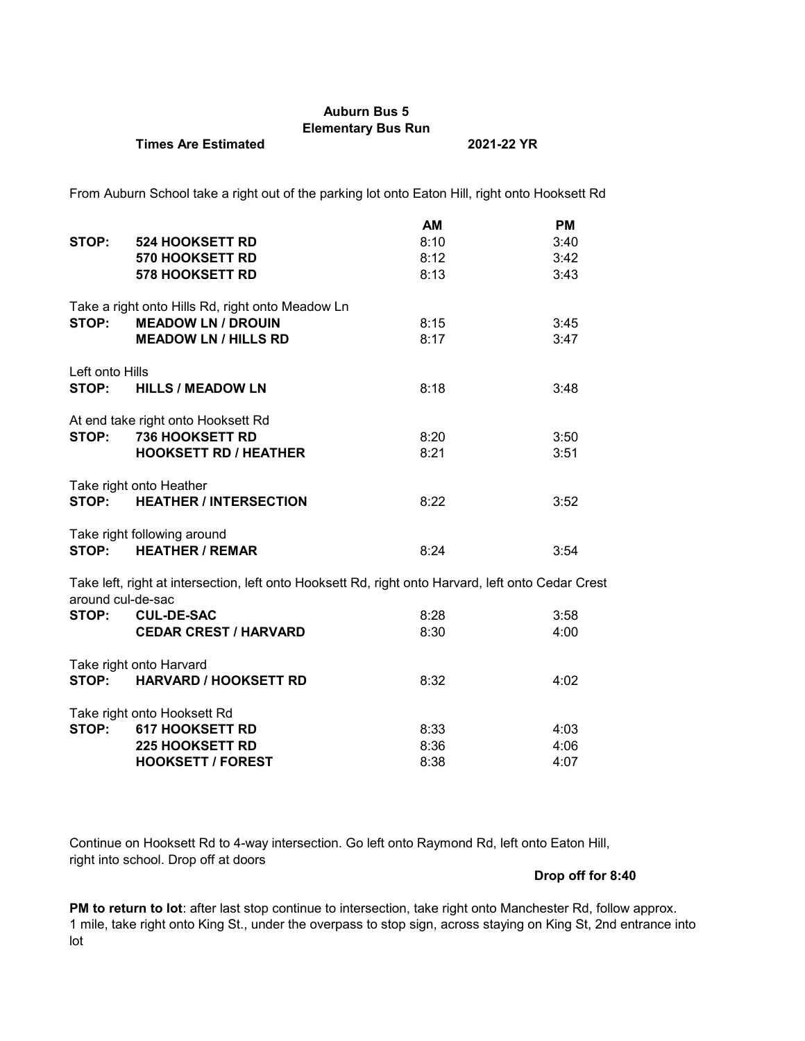# **Auburn Bus 5 Elementary Bus Run**

## **Times Are Estimated 2021-22 YR**

From Auburn School take a right out of the parking lot onto Eaton Hill, right onto Hooksett Rd

|                   |                                                                                                    | AM   | <b>PM</b> |
|-------------------|----------------------------------------------------------------------------------------------------|------|-----------|
| STOP:             | <b>524 HOOKSETT RD</b>                                                                             | 8:10 | 3:40      |
|                   | <b>570 HOOKSETT RD</b>                                                                             | 8:12 | 3:42      |
|                   | <b>578 HOOKSETT RD</b>                                                                             | 8:13 | 3:43      |
|                   | Take a right onto Hills Rd, right onto Meadow Ln                                                   |      |           |
| STOP:             | <b>MEADOW LN / DROUIN</b>                                                                          | 8:15 | 3:45      |
|                   | <b>MEADOW LN / HILLS RD</b>                                                                        | 8:17 | 3:47      |
| Left onto Hills   |                                                                                                    |      |           |
| STOP:             | <b>HILLS / MEADOW LN</b>                                                                           | 8:18 | 3:48      |
|                   | At end take right onto Hooksett Rd                                                                 |      |           |
| STOP:             | <b>736 HOOKSETT RD</b>                                                                             | 8:20 | 3:50      |
|                   | <b>HOOKSETT RD / HEATHER</b>                                                                       | 8:21 | 3:51      |
|                   | Take right onto Heather                                                                            |      |           |
| STOP:             | <b>HEATHER / INTERSECTION</b>                                                                      | 8:22 | 3:52      |
|                   | Take right following around                                                                        |      |           |
|                   | STOP: HEATHER / REMAR                                                                              | 8:24 | 3:54      |
| around cul-de-sac | Take left, right at intersection, left onto Hooksett Rd, right onto Harvard, left onto Cedar Crest |      |           |
|                   | STOP: CUL-DE-SAC                                                                                   | 8:28 | 3:58      |
|                   | <b>CEDAR CREST / HARVARD</b>                                                                       | 8:30 | 4:00      |
|                   | Take right onto Harvard                                                                            |      |           |
| STOP:             | <b>HARVARD / HOOKSETT RD</b>                                                                       | 8:32 | 4:02      |
|                   | Take right onto Hooksett Rd                                                                        |      |           |
| STOP:             | <b>617 HOOKSETT RD</b>                                                                             | 8:33 | 4:03      |
|                   | <b>225 HOOKSETT RD</b>                                                                             | 8:36 | 4:06      |
|                   | <b>HOOKSETT / FOREST</b>                                                                           | 8:38 | 4:07      |

Continue on Hooksett Rd to 4-way intersection. Go left onto Raymond Rd, left onto Eaton Hill, right into school. Drop off at doors

## **Drop off for 8:40**

**PM to return to lot**: after last stop continue to intersection, take right onto Manchester Rd, follow approx. 1 mile, take right onto King St., under the overpass to stop sign, across staying on King St, 2nd entrance into lot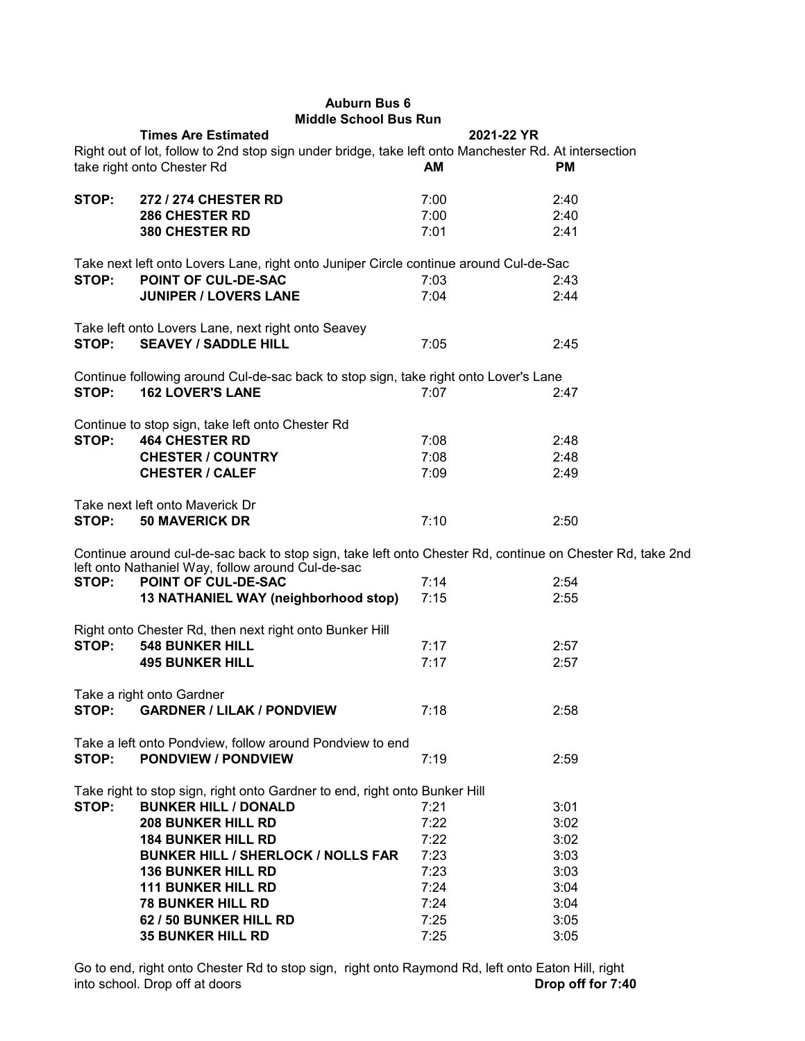## **Auburn Bus 6 Middle School Bus Run**

|       | <b>Times Are Estimated</b>                                                                                | 2021-22 YR |           |
|-------|-----------------------------------------------------------------------------------------------------------|------------|-----------|
|       | Right out of lot, follow to 2nd stop sign under bridge, take left onto Manchester Rd. At intersection     |            |           |
|       | take right onto Chester Rd                                                                                | AM         | <b>PM</b> |
|       |                                                                                                           |            |           |
| STOP: | 272 / 274 CHESTER RD                                                                                      | 7:00       | 2:40      |
|       | <b>286 CHESTER RD</b>                                                                                     | 7:00       | 2:40      |
|       | 380 CHESTER RD                                                                                            | 7:01       | 2:41      |
|       |                                                                                                           |            |           |
|       | Take next left onto Lovers Lane, right onto Juniper Circle continue around Cul-de-Sac                     |            |           |
| STOP: | POINT OF CUL-DE-SAC                                                                                       | 7:03       | 2:43      |
|       | <b>JUNIPER / LOVERS LANE</b>                                                                              | 7:04       | 2:44      |
|       |                                                                                                           |            |           |
|       | Take left onto Lovers Lane, next right onto Seavey                                                        |            |           |
| STOP: | <b>SEAVEY / SADDLE HILL</b>                                                                               | 7:05       | 2:45      |
|       |                                                                                                           |            |           |
|       | Continue following around Cul-de-sac back to stop sign, take right onto Lover's Lane                      |            |           |
| STOP: | <b>162 LOVER'S LANE</b>                                                                                   | 7:07       | 2:47      |
|       |                                                                                                           |            |           |
|       | Continue to stop sign, take left onto Chester Rd                                                          |            |           |
| STOP: | <b>464 CHESTER RD</b>                                                                                     | 7:08       | 2:48      |
|       | <b>CHESTER / COUNTRY</b>                                                                                  | 7:08       | 2:48      |
|       | <b>CHESTER / CALEF</b>                                                                                    | 7:09       | 2:49      |
|       | Take next left onto Maverick Dr                                                                           |            |           |
| STOP: | <b>50 MAVERICK DR</b>                                                                                     | 7:10       | 2:50      |
|       |                                                                                                           |            |           |
|       | Continue around cul-de-sac back to stop sign, take left onto Chester Rd, continue on Chester Rd, take 2nd |            |           |
|       | left onto Nathaniel Way, follow around Cul-de-sac                                                         |            |           |
| STOP: | POINT OF CUL-DE-SAC                                                                                       | 7:14       | 2:54      |
|       | 13 NATHANIEL WAY (neighborhood stop)                                                                      | 7:15       | 2:55      |
|       |                                                                                                           |            |           |
|       | Right onto Chester Rd, then next right onto Bunker Hill                                                   |            |           |
| STOP: | <b>548 BUNKER HILL</b>                                                                                    | 7:17       | 2:57      |
|       | <b>495 BUNKER HILL</b>                                                                                    | 7:17       | 2:57      |
|       |                                                                                                           |            |           |
|       | Take a right onto Gardner                                                                                 |            |           |
| STOP: | <b>GARDNER / LILAK / PONDVIEW</b>                                                                         | 7:18       | 2:58      |
|       |                                                                                                           |            |           |
|       | Take a left onto Pondview, follow around Pondview to end                                                  |            |           |
| STOP: | <b>PONDVIEW / PONDVIEW</b>                                                                                | 7:19       | 2:59      |
|       |                                                                                                           |            |           |
| STOP: | Take right to stop sign, right onto Gardner to end, right onto Bunker Hill<br><b>BUNKER HILL / DONALD</b> |            |           |
|       |                                                                                                           | 7:21       | 3:01      |
|       | <b>208 BUNKER HILL RD</b>                                                                                 | 7:22       | 3:02      |
|       | <b>184 BUNKER HILL RD</b>                                                                                 | 7:22       | 3:02      |
|       | <b>BUNKER HILL / SHERLOCK / NOLLS FAR</b>                                                                 | 7:23       | 3:03      |
|       | <b>136 BUNKER HILL RD</b>                                                                                 | 7:23       | 3:03      |
|       | <b>111 BUNKER HILL RD</b>                                                                                 | 7:24       | 3:04      |
|       | <b>78 BUNKER HILL RD</b>                                                                                  | 7:24       | 3:04      |
|       | 62 / 50 BUNKER HILL RD                                                                                    | 7:25       | 3:05      |
|       | <b>35 BUNKER HILL RD</b>                                                                                  | 7:25       | 3:05      |

Go to end, right onto Chester Rd to stop sign, right onto Raymond Rd, left onto Eaton Hill, right into school. Drop off at doors into school. Drop off at doors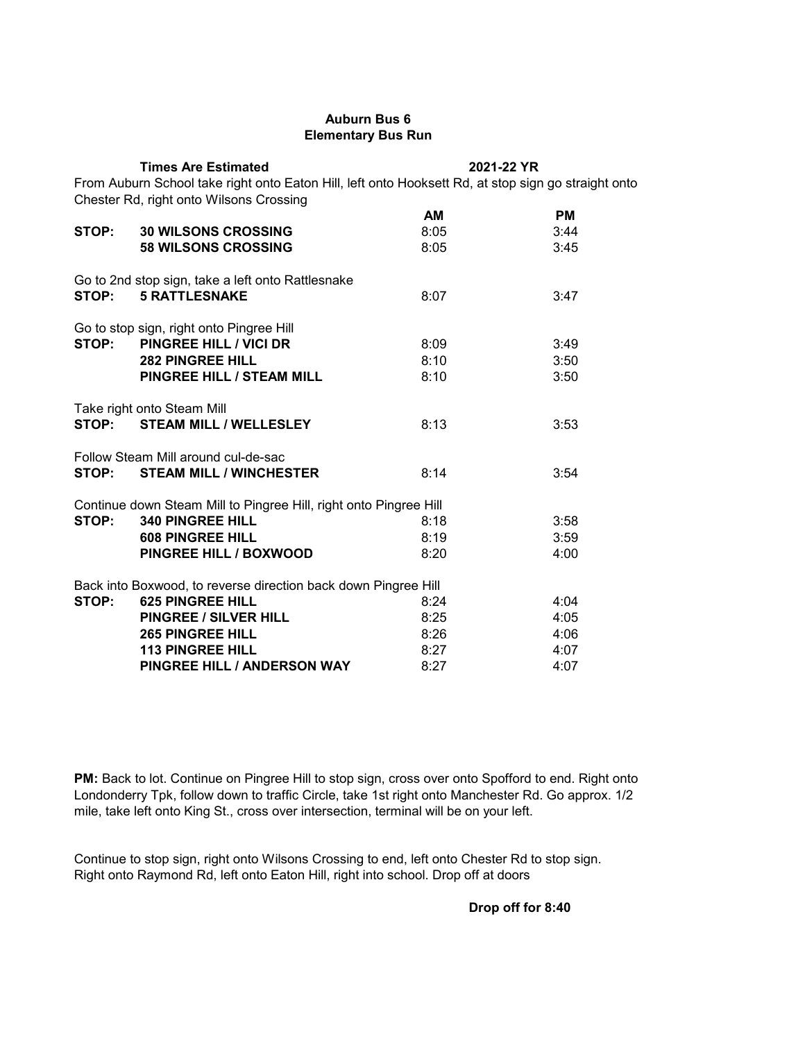## **Auburn Bus 6 Elementary Bus Run**

|                                                                                                                                                | <b>Times Are Estimated</b>                                        |      | 2021-22 YR |  |  |
|------------------------------------------------------------------------------------------------------------------------------------------------|-------------------------------------------------------------------|------|------------|--|--|
| From Auburn School take right onto Eaton Hill, left onto Hooksett Rd, at stop sign go straight onto<br>Chester Rd, right onto Wilsons Crossing |                                                                   |      |            |  |  |
|                                                                                                                                                |                                                                   | AM   | <b>PM</b>  |  |  |
| STOP:                                                                                                                                          | <b>30 WILSONS CROSSING</b>                                        | 8:05 | 3:44       |  |  |
|                                                                                                                                                | <b>58 WILSONS CROSSING</b>                                        | 8:05 | 3:45       |  |  |
|                                                                                                                                                | Go to 2nd stop sign, take a left onto Rattlesnake                 |      |            |  |  |
|                                                                                                                                                | STOP: 5 RATTLESNAKE                                               | 8:07 | 3:47       |  |  |
|                                                                                                                                                | Go to stop sign, right onto Pingree Hill                          |      |            |  |  |
|                                                                                                                                                | STOP: PINGREE HILL / VICI DR                                      | 8:09 | 3:49       |  |  |
|                                                                                                                                                | <b>282 PINGREE HILL</b>                                           | 8:10 | 3:50       |  |  |
|                                                                                                                                                | PINGREE HILL / STEAM MILL                                         | 8:10 | 3:50       |  |  |
|                                                                                                                                                | Take right onto Steam Mill                                        |      |            |  |  |
| STOP:                                                                                                                                          | <b>STEAM MILL / WELLESLEY</b>                                     | 8:13 | 3:53       |  |  |
|                                                                                                                                                | Follow Steam Mill around cul-de-sac                               |      |            |  |  |
| STOP:                                                                                                                                          | <b>STEAM MILL / WINCHESTER</b>                                    | 8:14 | 3:54       |  |  |
|                                                                                                                                                | Continue down Steam Mill to Pingree Hill, right onto Pingree Hill |      |            |  |  |
| STOP:                                                                                                                                          | <b>340 PINGREE HILL</b>                                           | 8:18 | 3:58       |  |  |
|                                                                                                                                                | <b>608 PINGREE HILL</b>                                           | 8:19 | 3:59       |  |  |
|                                                                                                                                                | PINGREE HILL / BOXWOOD                                            | 8:20 | 4:00       |  |  |
|                                                                                                                                                | Back into Boxwood, to reverse direction back down Pingree Hill    |      |            |  |  |
| STOP:                                                                                                                                          | <b>625 PINGREE HILL</b>                                           | 8:24 | 4:04       |  |  |
|                                                                                                                                                | <b>PINGREE / SILVER HILL</b>                                      | 8:25 | 4:05       |  |  |
|                                                                                                                                                | <b>265 PINGREE HILL</b>                                           | 8:26 | 4:06       |  |  |
|                                                                                                                                                | <b>113 PINGREE HILL</b>                                           | 8:27 | 4:07       |  |  |
|                                                                                                                                                | PINGREE HILL / ANDERSON WAY                                       | 8:27 | 4:07       |  |  |

PM: Back to lot. Continue on Pingree Hill to stop sign, cross over onto Spofford to end. Right onto Londonderry Tpk, follow down to traffic Circle, take 1st right onto Manchester Rd. Go approx. 1/2 mile, take left onto King St., cross over intersection, terminal will be on your left.

Continue to stop sign, right onto Wilsons Crossing to end, left onto Chester Rd to stop sign. Right onto Raymond Rd, left onto Eaton Hill, right into school. Drop off at doors

**Drop off for 8:40**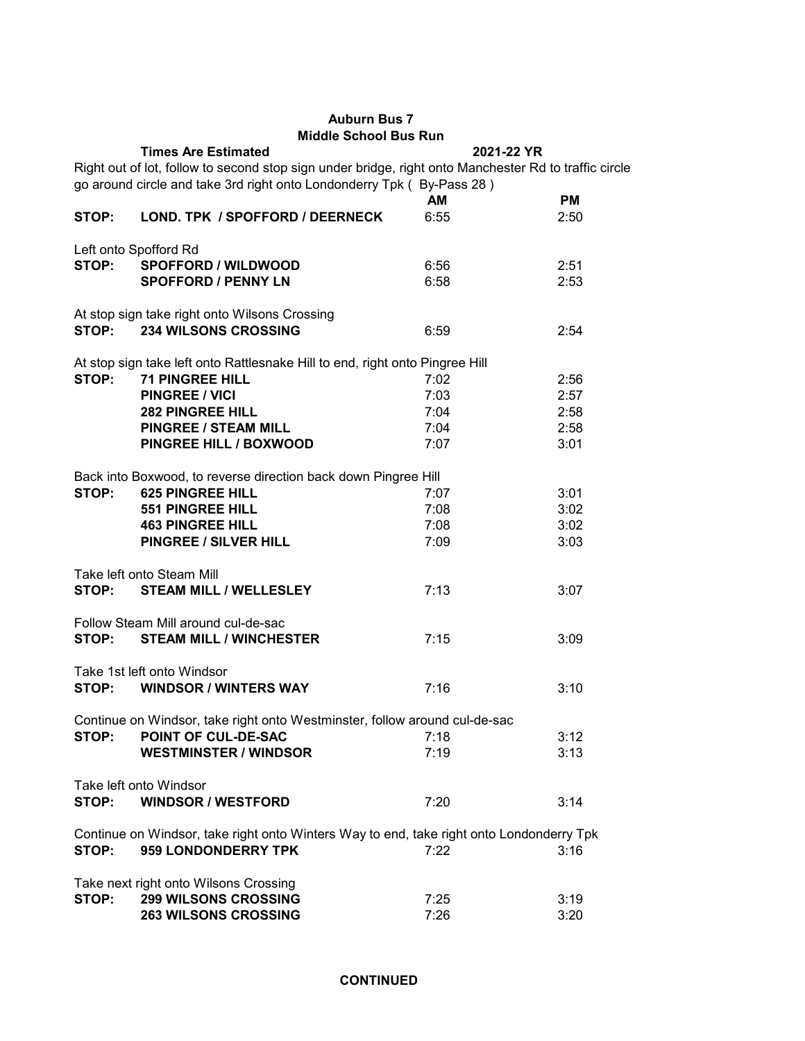## **Auburn Bus 7 Middle School Bus Run**

|       | <b>Times Are Estimated</b>                                                                             |      | 2021-22 YR |
|-------|--------------------------------------------------------------------------------------------------------|------|------------|
|       | Right out of lot, follow to second stop sign under bridge, right onto Manchester Rd to traffic circle  |      |            |
|       | go around circle and take 3rd right onto Londonderry Tpk (By-Pass 28)                                  |      |            |
|       |                                                                                                        | AM   | <b>PM</b>  |
| STOP: | LOND. TPK / SPOFFORD / DEERNECK                                                                        | 6:55 | 2:50       |
|       |                                                                                                        |      |            |
|       | Left onto Spofford Rd                                                                                  |      |            |
|       | STOP: SPOFFORD / WILDWOOD                                                                              | 6:56 | 2:51       |
|       | <b>SPOFFORD / PENNY LN</b>                                                                             | 6:58 | 2:53       |
|       |                                                                                                        |      |            |
|       | At stop sign take right onto Wilsons Crossing                                                          |      |            |
| STOP: | <b>234 WILSONS CROSSING</b>                                                                            | 6:59 | 2:54       |
|       |                                                                                                        |      |            |
| STOP: | At stop sign take left onto Rattlesnake Hill to end, right onto Pingree Hill<br><b>71 PINGREE HILL</b> |      |            |
|       |                                                                                                        | 7:02 | 2:56       |
|       | <b>PINGREE / VICI</b>                                                                                  | 7:03 | 2:57       |
|       | <b>282 PINGREE HILL</b>                                                                                | 7:04 | 2:58       |
|       | <b>PINGREE / STEAM MILL</b>                                                                            | 7:04 | 2:58       |
|       | PINGREE HILL / BOXWOOD                                                                                 | 7:07 | 3:01       |
|       | Back into Boxwood, to reverse direction back down Pingree Hill                                         |      |            |
| STOP: | <b>625 PINGREE HILL</b>                                                                                | 7:07 | 3:01       |
|       | <b>551 PINGREE HILL</b>                                                                                | 7:08 | 3:02       |
|       | <b>463 PINGREE HILL</b>                                                                                | 7:08 | 3:02       |
|       | PINGREE / SILVER HILL                                                                                  |      |            |
|       |                                                                                                        | 7:09 | 3:03       |
|       | Take left onto Steam Mill                                                                              |      |            |
| STOP: | <b>STEAM MILL / WELLESLEY</b>                                                                          | 7:13 | 3:07       |
|       |                                                                                                        |      |            |
|       | Follow Steam Mill around cul-de-sac                                                                    |      |            |
| STOP: | <b>STEAM MILL / WINCHESTER</b>                                                                         | 7:15 | 3:09       |
|       |                                                                                                        |      |            |
|       | Take 1st left onto Windsor                                                                             |      |            |
| STOP: | <b>WINDSOR / WINTERS WAY</b>                                                                           | 7:16 | 3:10       |
|       |                                                                                                        |      |            |
|       | Continue on Windsor, take right onto Westminster, follow around cul-de-sac                             |      |            |
| STOP: | POINT OF CUL-DE-SAC                                                                                    | 7:18 | 3:12       |
|       | <b>WESTMINSTER / WINDSOR</b>                                                                           | 7:19 | 3:13       |
|       | Take left onto Windsor                                                                                 |      |            |
| STOP: | <b>WINDSOR / WESTFORD</b>                                                                              |      |            |
|       |                                                                                                        | 7:20 | 3:14       |
|       | Continue on Windsor, take right onto Winters Way to end, take right onto Londonderry Tpk               |      |            |
| STOP: | 959 LONDONDERRY TPK                                                                                    | 7:22 | 3:16       |
|       |                                                                                                        |      |            |
|       | Take next right onto Wilsons Crossing                                                                  |      |            |
| STOP: | <b>299 WILSONS CROSSING</b>                                                                            | 7:25 | 3:19       |
|       | <b>263 WILSONS CROSSING</b>                                                                            | 7:26 | 3:20       |
|       |                                                                                                        |      |            |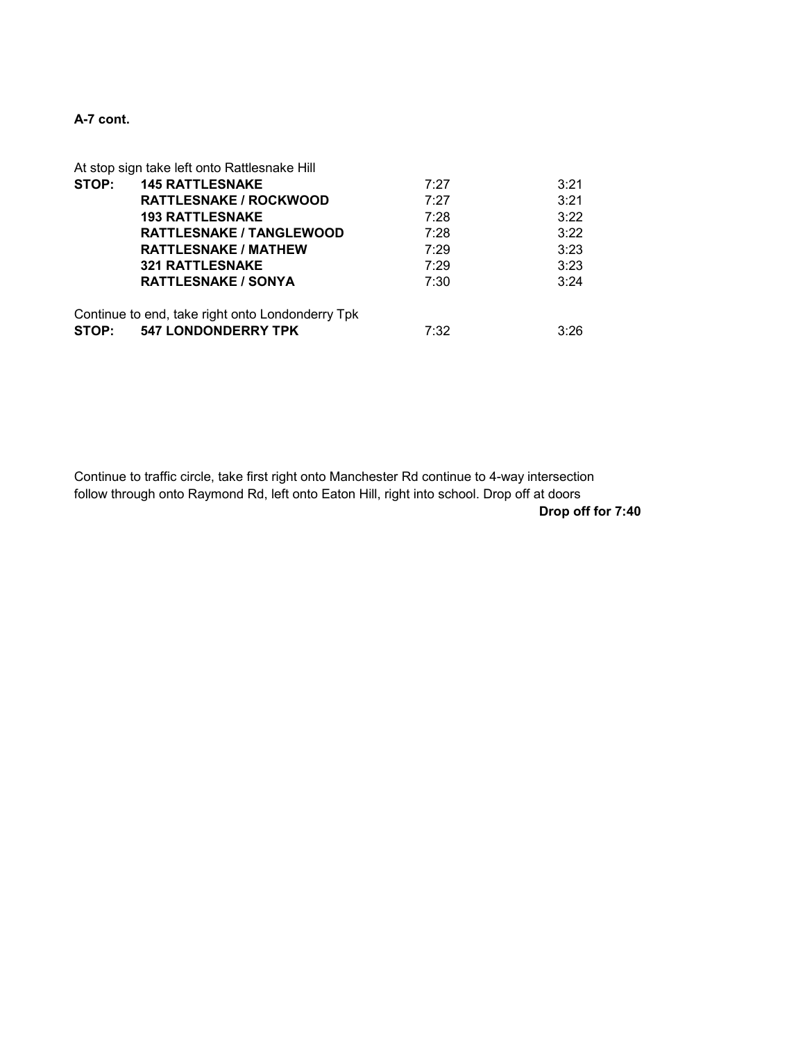# **A-7 cont.**

|       | At stop sign take left onto Rattlesnake Hill     |      |      |
|-------|--------------------------------------------------|------|------|
| STOP: | <b>145 RATTLESNAKE</b>                           | 7:27 | 3:21 |
|       | <b>RATTLESNAKE / ROCKWOOD</b>                    | 7:27 | 3:21 |
|       | <b>193 RATTLESNAKE</b>                           | 7:28 | 3:22 |
|       | <b>RATTLESNAKE / TANGLEWOOD</b>                  | 7:28 | 3:22 |
|       | <b>RATTLESNAKE / MATHEW</b>                      | 7:29 | 3:23 |
|       | <b>321 RATTLESNAKE</b>                           | 7:29 | 3:23 |
|       | <b>RATTLESNAKE / SONYA</b>                       | 7:30 | 3:24 |
|       | Continue to end, take right onto Londonderry Tpk |      |      |
| STOP: | <b>547 LONDONDERRY TPK</b>                       | 7:32 | 3:26 |

Continue to traffic circle, take first right onto Manchester Rd continue to 4-way intersection follow through onto Raymond Rd, left onto Eaton Hill, right into school. Drop off at doors **Drop off for 7:40**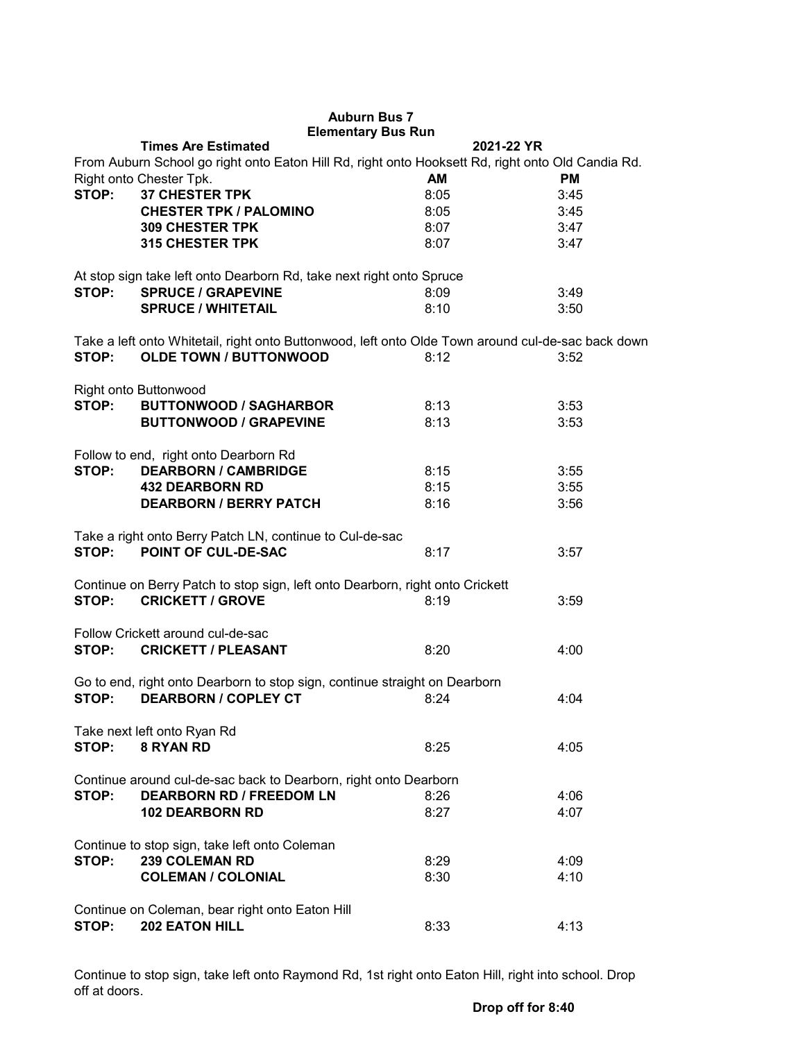|                                                                                                                                                 | <b>Auburn Bus 7</b><br><b>Elementary Bus Run</b><br><b>Times Are Estimated</b>                     | 2021-22 YR |      |  |  |  |
|-------------------------------------------------------------------------------------------------------------------------------------------------|----------------------------------------------------------------------------------------------------|------------|------|--|--|--|
|                                                                                                                                                 |                                                                                                    |            |      |  |  |  |
| From Auburn School go right onto Eaton Hill Rd, right onto Hooksett Rd, right onto Old Candia Rd.<br>Right onto Chester Tpk.<br>AM<br><b>PM</b> |                                                                                                    |            |      |  |  |  |
| STOP:                                                                                                                                           | <b>37 CHESTER TPK</b>                                                                              | 8:05       | 3:45 |  |  |  |
|                                                                                                                                                 | <b>CHESTER TPK / PALOMINO</b>                                                                      | 8:05       | 3:45 |  |  |  |
|                                                                                                                                                 | <b>309 CHESTER TPK</b>                                                                             | 8:07       | 3:47 |  |  |  |
|                                                                                                                                                 | <b>315 CHESTER TPK</b>                                                                             | 8:07       | 3:47 |  |  |  |
|                                                                                                                                                 |                                                                                                    |            |      |  |  |  |
|                                                                                                                                                 |                                                                                                    |            |      |  |  |  |
| STOP:                                                                                                                                           | At stop sign take left onto Dearborn Rd, take next right onto Spruce                               |            |      |  |  |  |
|                                                                                                                                                 | <b>SPRUCE / GRAPEVINE</b>                                                                          | 8:09       | 3:49 |  |  |  |
|                                                                                                                                                 | <b>SPRUCE / WHITETAIL</b>                                                                          | 8:10       | 3:50 |  |  |  |
|                                                                                                                                                 |                                                                                                    |            |      |  |  |  |
|                                                                                                                                                 | Take a left onto Whitetail, right onto Buttonwood, left onto Olde Town around cul-de-sac back down |            |      |  |  |  |
| STOP:                                                                                                                                           | <b>OLDE TOWN / BUTTONWOOD</b>                                                                      | 8:12       | 3:52 |  |  |  |
|                                                                                                                                                 |                                                                                                    |            |      |  |  |  |
|                                                                                                                                                 | Right onto Buttonwood                                                                              |            |      |  |  |  |
|                                                                                                                                                 | STOP: BUTTONWOOD / SAGHARBOR                                                                       | 8:13       | 3:53 |  |  |  |
|                                                                                                                                                 | <b>BUTTONWOOD / GRAPEVINE</b>                                                                      | 8:13       | 3:53 |  |  |  |
|                                                                                                                                                 |                                                                                                    |            |      |  |  |  |
|                                                                                                                                                 | Follow to end, right onto Dearborn Rd                                                              |            |      |  |  |  |
| STOP:                                                                                                                                           | <b>DEARBORN / CAMBRIDGE</b>                                                                        | 8:15       | 3:55 |  |  |  |
|                                                                                                                                                 | <b>432 DEARBORN RD</b>                                                                             | 8:15       | 3:55 |  |  |  |
|                                                                                                                                                 | <b>DEARBORN / BERRY PATCH</b>                                                                      | 8:16       | 3:56 |  |  |  |
|                                                                                                                                                 |                                                                                                    |            |      |  |  |  |
|                                                                                                                                                 | Take a right onto Berry Patch LN, continue to Cul-de-sac                                           |            |      |  |  |  |
| STOP:                                                                                                                                           | POINT OF CUL-DE-SAC                                                                                | 8:17       | 3:57 |  |  |  |
|                                                                                                                                                 |                                                                                                    |            |      |  |  |  |
|                                                                                                                                                 | Continue on Berry Patch to stop sign, left onto Dearborn, right onto Crickett                      |            |      |  |  |  |
| STOP:                                                                                                                                           | <b>CRICKETT / GROVE</b>                                                                            | 8:19       | 3:59 |  |  |  |
|                                                                                                                                                 |                                                                                                    |            |      |  |  |  |
|                                                                                                                                                 | Follow Crickett around cul-de-sac                                                                  |            |      |  |  |  |
| STOP:                                                                                                                                           | <b>CRICKETT / PLEASANT</b>                                                                         | 8:20       | 4:00 |  |  |  |
|                                                                                                                                                 |                                                                                                    |            |      |  |  |  |
|                                                                                                                                                 | Go to end, right onto Dearborn to stop sign, continue straight on Dearborn                         |            |      |  |  |  |
| STOP:                                                                                                                                           | <b>DEARBORN / COPLEY CT</b>                                                                        | 8:24       | 4:04 |  |  |  |
|                                                                                                                                                 |                                                                                                    |            |      |  |  |  |
|                                                                                                                                                 | Take next left onto Ryan Rd                                                                        |            |      |  |  |  |
| STOP:                                                                                                                                           | 8 RYAN RD                                                                                          | 8:25       | 4:05 |  |  |  |
|                                                                                                                                                 |                                                                                                    |            |      |  |  |  |
|                                                                                                                                                 | Continue around cul-de-sac back to Dearborn, right onto Dearborn                                   |            |      |  |  |  |
| STOP:                                                                                                                                           | <b>DEARBORN RD / FREEDOM LN</b>                                                                    | 8:26       | 4:06 |  |  |  |
|                                                                                                                                                 | <b>102 DEARBORN RD</b>                                                                             | 8:27       | 4:07 |  |  |  |
|                                                                                                                                                 |                                                                                                    |            |      |  |  |  |
| Continue to stop sign, take left onto Coleman                                                                                                   |                                                                                                    |            |      |  |  |  |
| STOP:                                                                                                                                           | <b>239 COLEMAN RD</b>                                                                              | 8:29       | 4:09 |  |  |  |
|                                                                                                                                                 | <b>COLEMAN / COLONIAL</b>                                                                          | 8:30       | 4:10 |  |  |  |
|                                                                                                                                                 |                                                                                                    |            |      |  |  |  |
|                                                                                                                                                 | Continue on Coleman, bear right onto Eaton Hill                                                    |            |      |  |  |  |
| STOP:                                                                                                                                           | <b>202 EATON HILL</b>                                                                              | 8:33       | 4:13 |  |  |  |
|                                                                                                                                                 |                                                                                                    |            |      |  |  |  |

Continue to stop sign, take left onto Raymond Rd, 1st right onto Eaton Hill, right into school. Drop off at doors.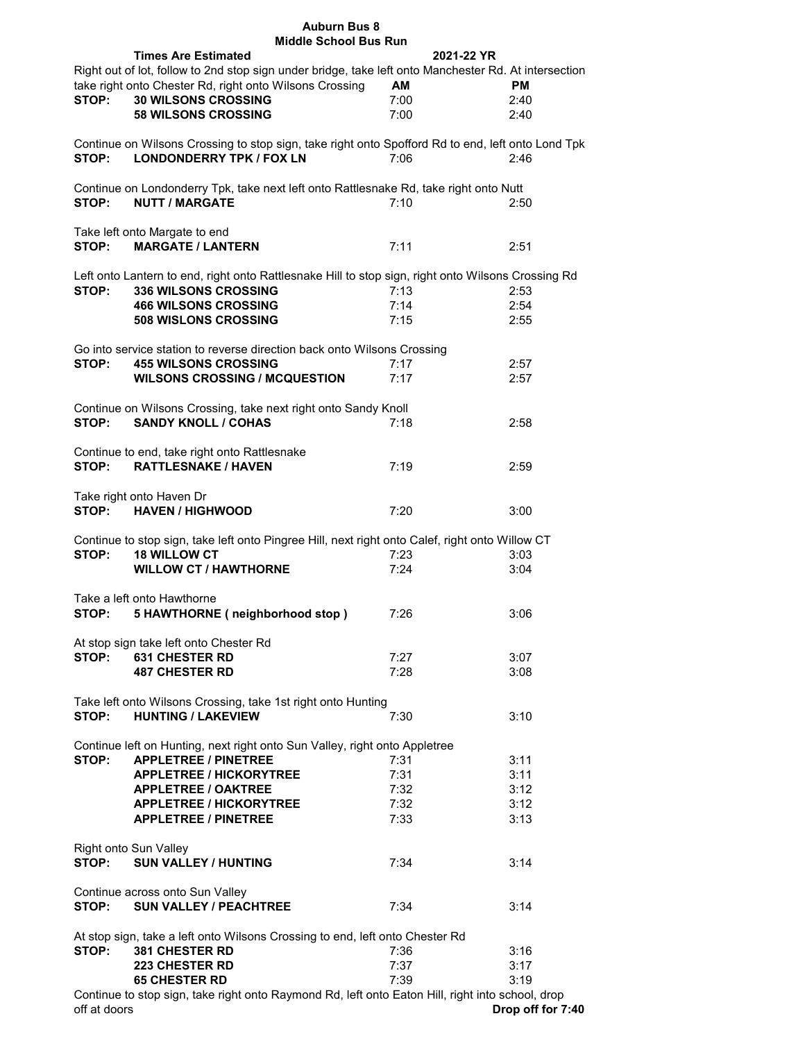| <b>Auburn Bus 8</b>                                                                                                                           |           |            |  |  |  |
|-----------------------------------------------------------------------------------------------------------------------------------------------|-----------|------------|--|--|--|
| <b>Middle School Bus Run</b>                                                                                                                  |           |            |  |  |  |
| <b>Times Are Estimated</b>                                                                                                                    |           | 2021-22 YR |  |  |  |
| Right out of lot, follow to 2nd stop sign under bridge, take left onto Manchester Rd. At intersection                                         |           |            |  |  |  |
| take right onto Chester Rd, right onto Wilsons Crossing                                                                                       | <b>AM</b> | <b>PM</b>  |  |  |  |
| STOP:<br><b>30 WILSONS CROSSING</b>                                                                                                           | 7:00      | 2:40       |  |  |  |
|                                                                                                                                               |           |            |  |  |  |
| <b>58 WILSONS CROSSING</b>                                                                                                                    | 7:00      | 2:40       |  |  |  |
| Continue on Wilsons Crossing to stop sign, take right onto Spofford Rd to end, left onto Lond Tpk<br><b>LONDONDERRY TPK / FOX LN</b><br>STOP: | 7:06      | 2:46       |  |  |  |
|                                                                                                                                               |           |            |  |  |  |
| Continue on Londonderry Tpk, take next left onto Rattlesnake Rd, take right onto Nutt<br><b>NUTT / MARGATE</b><br>STOP:                       | 7:10      | 2:50       |  |  |  |
|                                                                                                                                               |           |            |  |  |  |
| Take left onto Margate to end                                                                                                                 |           |            |  |  |  |
| STOP:<br><b>MARGATE / LANTERN</b>                                                                                                             | 7:11      | 2:51       |  |  |  |
|                                                                                                                                               |           |            |  |  |  |
| Left onto Lantern to end, right onto Rattlesnake Hill to stop sign, right onto Wilsons Crossing Rd                                            |           |            |  |  |  |
| STOP:<br><b>336 WILSONS CROSSING</b>                                                                                                          | 7:13      | 2:53       |  |  |  |
|                                                                                                                                               | 7:14      | 2:54       |  |  |  |
| <b>466 WILSONS CROSSING</b>                                                                                                                   |           |            |  |  |  |
| 508 WISLONS CROSSING                                                                                                                          | 7:15      | 2:55       |  |  |  |
|                                                                                                                                               |           |            |  |  |  |
| Go into service station to reverse direction back onto Wilsons Crossing                                                                       |           |            |  |  |  |
| STOP:<br><b>455 WILSONS CROSSING</b>                                                                                                          | 7:17      | 2:57       |  |  |  |
| <b>WILSONS CROSSING / MCQUESTION</b>                                                                                                          | 7:17      | 2:57       |  |  |  |
|                                                                                                                                               |           |            |  |  |  |
|                                                                                                                                               |           |            |  |  |  |
| Continue on Wilsons Crossing, take next right onto Sandy Knoll                                                                                |           |            |  |  |  |
| <b>SANDY KNOLL / COHAS</b><br>STOP:                                                                                                           | 7:18      | 2:58       |  |  |  |
|                                                                                                                                               |           |            |  |  |  |
| Continue to end, take right onto Rattlesnake                                                                                                  |           |            |  |  |  |
| STOP:<br><b>RATTLESNAKE / HAVEN</b>                                                                                                           | 7:19      | 2:59       |  |  |  |
|                                                                                                                                               |           |            |  |  |  |
| Take right onto Haven Dr                                                                                                                      |           |            |  |  |  |
| STOP:<br><b>HAVEN / HIGHWOOD</b>                                                                                                              | 7:20      | 3:00       |  |  |  |
|                                                                                                                                               |           |            |  |  |  |
|                                                                                                                                               |           |            |  |  |  |
| Continue to stop sign, take left onto Pingree Hill, next right onto Calef, right onto Willow CT                                               |           |            |  |  |  |
| STOP:<br><b>18 WILLOW CT</b>                                                                                                                  | 7:23      | 3:03       |  |  |  |
| <b>WILLOW CT / HAWTHORNE</b>                                                                                                                  | 7:24      | 3:04       |  |  |  |
|                                                                                                                                               |           |            |  |  |  |
| Take a left onto Hawthorne                                                                                                                    |           |            |  |  |  |
| 5 HAWTHORNE (neighborhood stop)<br>STOP:                                                                                                      | 7:26      | 3:06       |  |  |  |
|                                                                                                                                               |           |            |  |  |  |
|                                                                                                                                               |           |            |  |  |  |
| At stop sign take left onto Chester Rd                                                                                                        |           |            |  |  |  |
| 631 CHESTER RD<br>STOP:                                                                                                                       | 7:27      | 3:07       |  |  |  |
| <b>487 CHESTER RD</b>                                                                                                                         | 7:28      | 3:08       |  |  |  |
|                                                                                                                                               |           |            |  |  |  |
| Take left onto Wilsons Crossing, take 1st right onto Hunting                                                                                  |           |            |  |  |  |
| <b>HUNTING / LAKEVIEW</b><br>STOP:                                                                                                            | 7:30      | 3:10       |  |  |  |
|                                                                                                                                               |           |            |  |  |  |
|                                                                                                                                               |           |            |  |  |  |
| Continue left on Hunting, next right onto Sun Valley, right onto Appletree                                                                    |           |            |  |  |  |
| <b>APPLETREE / PINETREE</b><br>STOP:                                                                                                          | 7:31      | 3:11       |  |  |  |
| <b>APPLETREE / HICKORYTREE</b>                                                                                                                | 7:31      | 3:11       |  |  |  |
| <b>APPLETREE / OAKTREE</b>                                                                                                                    | 7:32      | 3:12       |  |  |  |
| <b>APPLETREE / HICKORYTREE</b>                                                                                                                | 7:32      | 3:12       |  |  |  |
| <b>APPLETREE / PINETREE</b>                                                                                                                   | 7:33      | 3:13       |  |  |  |
|                                                                                                                                               |           |            |  |  |  |
| Right onto Sun Valley                                                                                                                         |           |            |  |  |  |
|                                                                                                                                               |           |            |  |  |  |
| <b>SUN VALLEY / HUNTING</b><br>STOP:                                                                                                          | 7:34      | 3:14       |  |  |  |
|                                                                                                                                               |           |            |  |  |  |
| Continue across onto Sun Valley                                                                                                               |           |            |  |  |  |
| <b>SUN VALLEY / PEACHTREE</b><br>STOP:                                                                                                        | 7:34      | 3:14       |  |  |  |
|                                                                                                                                               |           |            |  |  |  |
| At stop sign, take a left onto Wilsons Crossing to end, left onto Chester Rd                                                                  |           |            |  |  |  |
| STOP:<br><b>381 CHESTER RD</b>                                                                                                                | 7:36      | 3:16       |  |  |  |
|                                                                                                                                               |           |            |  |  |  |
| <b>223 CHESTER RD</b>                                                                                                                         | 7:37      | 3:17       |  |  |  |
| <b>65 CHESTER RD</b>                                                                                                                          | 7:39      | 3:19       |  |  |  |
| Continue to stop sign, take right onto Raymond Rd, left onto Eaton Hill, right into school, drop                                              |           |            |  |  |  |

off at doors **Drop off for 7:40**